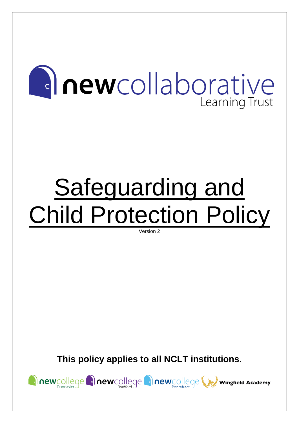# **Anewcollaborative** Learning Trust

# Safeguarding and Child Protection Policy Version 2

**This policy applies to all NCLT institutions.**

newcollege anewcollege anewcollege wingfield Academy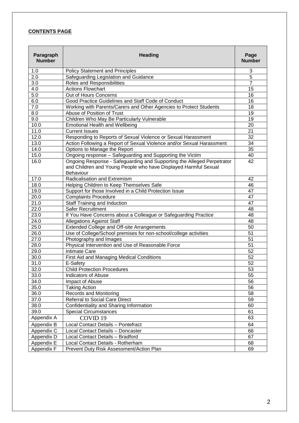#### **CONTENTS PAGE**

| Paragraph<br><b>Number</b> | <b>Heading</b>                                                                                                                                                | Page<br><b>Number</b> |
|----------------------------|---------------------------------------------------------------------------------------------------------------------------------------------------------------|-----------------------|
| 1.0                        | <b>Policy Statement and Principles</b>                                                                                                                        | 3                     |
| 2.0                        | Safeguarding Legislation and Guidance                                                                                                                         |                       |
| 3.0                        | Roles and Responsibilities                                                                                                                                    |                       |
| 4.0                        | <b>Actions Flowchart</b>                                                                                                                                      | 15                    |
| 5.0                        | Out of Hours Concerns                                                                                                                                         | 16                    |
| 6.0                        | Good Practice Guidelines and Staff Code of Conduct                                                                                                            | 16                    |
| 7.0                        | Working with Parents/Carers and Other Agencies to Protect Students                                                                                            | 18                    |
| 8.0                        | Abuse of Position of Trust                                                                                                                                    | 19                    |
| 9.0                        | Children Who May Be Particularly Vulnerable                                                                                                                   | 19                    |
| 10.0                       | <b>Emotional Health and Wellbeing</b>                                                                                                                         | 20                    |
| 11.0                       | <b>Current Issues</b>                                                                                                                                         | 21                    |
| 12.0                       | Responding to Reports of Sexual Violence or Sexual Harassment                                                                                                 | 32                    |
| 13.0                       | Action Following a Report of Sexual Violence and/or Sexual Harassment                                                                                         | 34                    |
| 14.0                       | Options to Manage the Report                                                                                                                                  | 35                    |
| 15.0                       | Ongoing response - Safeguarding and Supporting the Victim                                                                                                     | 40                    |
| 16.0                       | Ongoing Response - Safeguarding and Supporting the Alleged Perpetrator<br>and Children and Young People who have Displayed Harmful Sexual<br><b>Behaviour</b> | 42                    |
| 17.0                       | Radicalisation and Extremism                                                                                                                                  | 42                    |
| 18.0                       | Helping Children to Keep Themselves Safe                                                                                                                      | 46                    |
| 19.0                       | Support for those Involved in a Child Protection Issue                                                                                                        | 47                    |
| 20.0                       | <b>Complaints Procedure</b>                                                                                                                                   | 47                    |
| 21.0                       | Staff Training and Induction                                                                                                                                  | 47                    |
| 22.0                       | <b>Safer Recruitment</b>                                                                                                                                      | 48                    |
| 23.0                       | If You Have Concerns about a Colleague or Safeguarding Practice                                                                                               |                       |
| 24.0                       | <b>Allegations Against Staff</b>                                                                                                                              |                       |
| 25.0                       | Extended College and Off-site Arrangements                                                                                                                    |                       |
| 26.0                       | Use of College/School premises for non-school/college activities                                                                                              | 51                    |
| 27.0                       | Photography and Images                                                                                                                                        | 51                    |
| 28.0                       | Physical Intervention and Use of Reasonable Force                                                                                                             | 51                    |
| 29.0                       | <b>Intimate Care</b>                                                                                                                                          | 52                    |
| 30.0                       | First Aid and Managing Medical Conditions                                                                                                                     | 52                    |
| 31.0                       | E-Safety                                                                                                                                                      | 52                    |
| 32.0                       | <b>Child Protection Procedures</b>                                                                                                                            | 53                    |
| 33.0                       | <b>Indicators of Abuse</b>                                                                                                                                    | 55                    |
| 34.0                       | Impact of Abuse                                                                                                                                               | 56                    |
| 35.0                       | <b>Taking Action</b>                                                                                                                                          | 56                    |
| 36.0                       | <b>Records and Monitoring</b>                                                                                                                                 | 58                    |
| 37.0                       | Referral to Social Care Direct                                                                                                                                | 59                    |
| 38.0                       | Confidentiality and Sharing Information                                                                                                                       | 60                    |
| 39.0                       | <b>Special Circumstances</b>                                                                                                                                  | 61                    |
| Appendix A                 | COVID <sub>19</sub>                                                                                                                                           | 63                    |
| Appendix B                 | Local Contact Details - Pontefract                                                                                                                            | 64                    |
| Appendix C                 | Local Contact Details - Doncaster                                                                                                                             | 66                    |
| Appendix D                 | Local Contact Details - Bradford                                                                                                                              | 67                    |
| Appendix E                 | Local Contact Details - Rotherham                                                                                                                             | 68                    |
| Appendix F                 | Prevent Duty Risk Assessment/Action Plan                                                                                                                      | 69                    |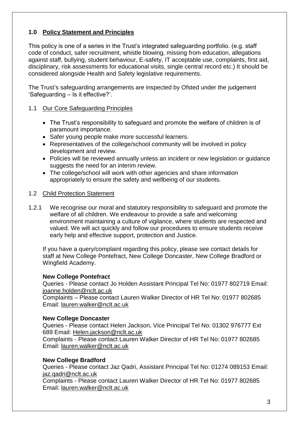# **1.0 Policy Statement and Principles**

This policy is one of a series in the Trust's integrated safeguarding portfolio. (e.g. staff code of conduct, safer recruitment, whistle blowing, missing from education, allegations against staff, bullying, student behaviour, E-safety, IT acceptable use, complaints, first aid, disciplinary, risk assessments for educational visits, single central record etc.) It should be considered alongside Health and Safety legislative requirements.

The Trust's safeguarding arrangements are inspected by Ofsted under the judgement 'Safeguarding – Is it effective?'.

#### 1.1 Our Core Safeguarding Principles

- The Trust's responsibility to safeguard and promote the welfare of children is of paramount importance.
- Safer young people make more successful learners.
- Representatives of the college/school community will be involved in policy development and review.
- Policies will be reviewed annually unless an incident or new legislation or guidance suggests the need for an interim review.
- The college/school will work with other agencies and share information appropriately to ensure the safety and wellbeing of our students.

#### 1.2 Child Protection Statement

1.2.1 We recognise our moral and statutory responsibility to safeguard and promote the welfare of all children. We endeavour to provide a safe and welcoming environment maintaining a culture of vigilance, where students are respected and valued. We will act quickly and follow our procedures to ensure students receive early help and effective support, protection and Justice.

If you have a query/complaint regarding this policy, please see contact details for staff at New College Pontefract, New College Doncaster, New College Bradford or Wingfield Academy.

#### **New College Pontefract**

Queries - Please contact Jo Holden Assistant Principal Tel No: 01977 802719 Email: [joanne.holden@nclt.ac.uk](mailto:joanne.holden@nclt.ac.uk)

Complaints – Please contact Lauren Walker Director of HR Tel No: 01977 802685 Email: [lauren.walker@nclt.ac.uk](mailto:lauren.walker@nclt.ac.uk)

#### **New College Doncaster**

Queries - Please contact Helen Jackson, Vice Principal Tel No: 01302 976777 Ext 689 Email: [Helen.jackson@nclt.ac.uk](mailto:Helen.jackson@nclt.ac.uk) 

Complaints - Please contact Lauren Walker Director of HR Tel No: 01977 802685 Email: [lauren.walker@nclt.ac.uk](mailto:lauren.walker@nclt.ac.uk)

#### **New College Bradford**

Queries - Please contact Jaz Qadri, Assistant Principal Tel No: 01274 089153 Email: [jaz.qadri@nclt.ac.uk](mailto:jaz.qadri@nclt.ac.uk)

Complaints - Please contact Lauren Walker Director of HR Tel No: 01977 802685 Email: [lauren.walker@nclt.ac.uk](mailto:lauren.walker@nclt.ac.uk)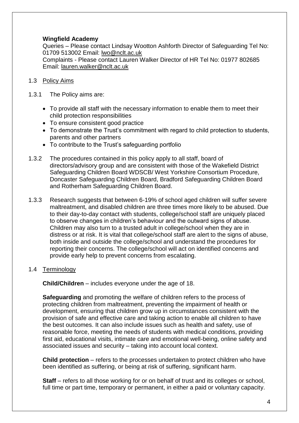# **Wingfield Academy**

Queries – Please contact Lindsay Wootton Ashforth Director of Safeguarding Tel No: 01709 513002 Email: [lwo@nclt.ac.uk](mailto:lwo@nclt.ac.uk) Complaints - Please contact Lauren Walker Director of HR Tel No: 01977 802685 Email: [lauren.walker@nclt.ac.uk](mailto:lauren.walker@nclt.ac.uk)

# 1.3 Policy Aims

- 1.3.1 The Policy aims are:
	- To provide all staff with the necessary information to enable them to meet their child protection responsibilities
	- To ensure consistent good practice
	- To demonstrate the Trust's commitment with regard to child protection to students, parents and other partners
	- To contribute to the Trust's safeguarding portfolio
- 1.3.2 The procedures contained in this policy apply to all staff, board of directors/advisory group and are consistent with those of the Wakefield District Safeguarding Children Board WDSCB/ West Yorkshire Consortium Procedure, Doncaster Safeguarding Children Board, Bradford Safeguarding Children Board and Rotherham Safeguarding Children Board.
- 1.3.3 Research suggests that between 6-19% of school aged children will suffer severe maltreatment, and disabled children are three times more likely to be abused. Due to their day-to-day contact with students, college/school staff are uniquely placed to observe changes in children's behaviour and the outward signs of abuse. Children may also turn to a trusted adult in college/school when they are in distress or at risk. It is vital that college/school staff are alert to the signs of abuse, both inside and outside the college/school and understand the procedures for reporting their concerns. The college/school will act on identified concerns and provide early help to prevent concerns from escalating.

#### 1.4 Terminology

**Child/Children** – includes everyone under the age of 18.

**Safeguarding** and promoting the welfare of children refers to the process of protecting children from maltreatment, preventing the impairment of health or development, ensuring that children grow up in circumstances consistent with the provision of safe and effective care and taking action to enable all children to have the best outcomes. It can also include issues such as health and safety, use of reasonable force, meeting the needs of students with medical conditions, providing first aid, educational visits, intimate care and emotional well-being, online safety and associated issues and security – taking into account local context.

**Child protection** – refers to the processes undertaken to protect children who have been identified as suffering, or being at risk of suffering, significant harm.

**Staff** – refers to all those working for or on behalf of trust and its colleges or school, full time or part time, temporary or permanent, in either a paid or voluntary capacity.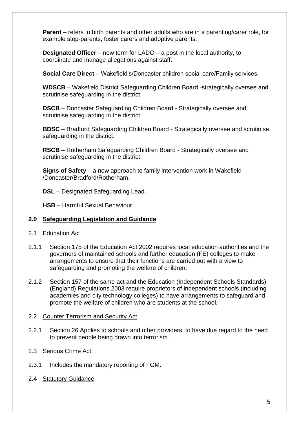**Parent** – refers to birth parents and other adults who are in a parenting/carer role, for example step-parents, foster carers and adoptive parents.

**Designated Officer** – new term for LADO – a post in the local authority, to coordinate and manage allegations against staff.

**Social Care Direct** – Wakefield's/Doncaster children social care/Family services.

**WDSCB** – Wakefield District Safeguarding Children Board -strategically oversee and scrutinise safeguarding in the district.

**DSCB** – Doncaster Safeguarding Children Board - Strategically oversee and scrutinise safeguarding in the district.

**BDSC** – Bradford Safeguarding Children Board - Strategically oversee and scrutinise safeguarding in the district.

**RSCB** – Rotherham Safeguarding Children Board - Strategically oversee and scrutinise safeguarding in the district.

**Signs of Safety** – a new approach to family intervention work in Wakefield /Doncaster/Bradford/Rotherham.

**DSL** – Designated Safeguarding Lead.

**HSB** – Harmful Sexual Behaviour

#### **2.0 Safeguarding Legislation and Guidance**

- 2.1 Education Act
- 2.1.1 Section 175 of the Education Act 2002 requires local education authorities and the governors of maintained schools and further education (FE) colleges to make arrangements to ensure that their functions are carried out with a view to safeguarding and promoting the welfare of children.
- 2.1.2 Section 157 of the same act and the Education (Independent Schools Standards) (England) Regulations 2003 require proprietors of independent schools (including academies and city technology colleges) to have arrangements to safeguard and promote the welfare of children who are students at the school.

#### 2.2 Counter Terrorism and Security Act

2.2.1 Section 26 Applies to schools and other providers; to have due regard to the need to prevent people being drawn into terrorism

#### 2.3 Serious Crime Act

- 2.3.1 Includes the mandatory reporting of FGM.
- 2.4 Statutory Guidance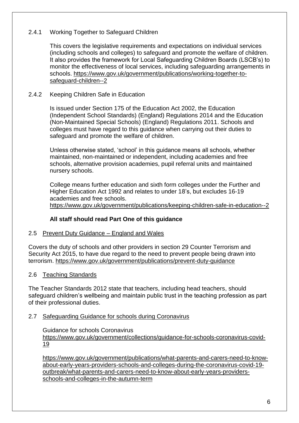# 2.4.1 Working Together to Safeguard Children

This covers the legislative requirements and expectations on individual services (including schools and colleges) to safeguard and promote the welfare of children. It also provides the framework for Local Safeguarding Children Boards (LSCB's) to monitor the effectiveness of local services, including safeguarding arrangements in schools. [https://www.gov.uk/government/publications/working-together-to](https://www.gov.uk/government/publications/working-together-to-safeguard-children--2)[safeguard-children--2](https://www.gov.uk/government/publications/working-together-to-safeguard-children--2)

# 2.4.2 Keeping Children Safe in Education

Is issued under Section 175 of the Education Act 2002, the Education (Independent School Standards) (England) Regulations 2014 and the Education (Non-Maintained Special Schools) (England) Regulations 2011. Schools and colleges must have regard to this guidance when carrying out their duties to safeguard and promote the welfare of children.

Unless otherwise stated, 'school' in this guidance means all schools, whether maintained, non-maintained or independent, including academies and free schools, alternative provision academies, pupil referral units and maintained nursery schools.

College means further education and sixth form colleges under the Further and Higher Education Act 1992 and relates to under 18's, but excludes 16-19 academies and free schools.

<https://www.gov.uk/government/publications/keeping-children-safe-in-education--2>

#### **All staff should read Part One of this guidance**

#### 2.5 Prevent Duty Guidance – England and Wales

Covers the duty of schools and other providers in section 29 Counter Terrorism and Security Act 2015, to have due regard to the need to prevent people being drawn into terrorism. <https://www.gov.uk/government/publications/prevent-duty-guidance>

2.6 Teaching Standards

The Teacher Standards 2012 state that teachers, including head teachers, should safeguard children's wellbeing and maintain public trust in the teaching profession as part of their professional duties.

#### 2.7 Safeguarding Guidance for schools during Coronavirus

Guidance for schools Coronavirus [https://www.gov.uk/government/collections/guidance-for-schools-coronavirus-covid-](https://www.gov.uk/government/collections/guidance-for-schools-coronavirus-covid-19)[19](https://www.gov.uk/government/collections/guidance-for-schools-coronavirus-covid-19)

[https://www.gov.uk/government/publications/what-parents-and-carers-need-to-know](https://www.gov.uk/government/publications/what-parents-and-carers-need-to-know-about-early-years-providers-schools-and-colleges-during-the-coronavirus-covid-19-outbreak/what-parents-and-carers-need-to-know-about-early-years-providers-schools-and-colleges-in-the-autumn-term)[about-early-years-providers-schools-and-colleges-during-the-coronavirus-covid-19](https://www.gov.uk/government/publications/what-parents-and-carers-need-to-know-about-early-years-providers-schools-and-colleges-during-the-coronavirus-covid-19-outbreak/what-parents-and-carers-need-to-know-about-early-years-providers-schools-and-colleges-in-the-autumn-term) [outbreak/what-parents-and-carers-need-to-know-about-early-years-providers](https://www.gov.uk/government/publications/what-parents-and-carers-need-to-know-about-early-years-providers-schools-and-colleges-during-the-coronavirus-covid-19-outbreak/what-parents-and-carers-need-to-know-about-early-years-providers-schools-and-colleges-in-the-autumn-term)[schools-and-colleges-in-the-autumn-term](https://www.gov.uk/government/publications/what-parents-and-carers-need-to-know-about-early-years-providers-schools-and-colleges-during-the-coronavirus-covid-19-outbreak/what-parents-and-carers-need-to-know-about-early-years-providers-schools-and-colleges-in-the-autumn-term)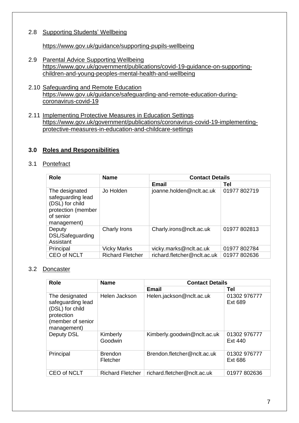#### 2.8 Supporting Students' Wellbeing

#### <https://www.gov.uk/guidance/supporting-pupils-wellbeing>

- 2.9 Parental Advice Supporting Wellbeing [https://www.gov.uk/government/publications/covid-19-guidance-on-supporting](https://www.gov.uk/government/publications/covid-19-guidance-on-supporting-children-and-young-peoples-mental-health-and-wellbeing)[children-and-young-peoples-mental-health-and-wellbeing](https://www.gov.uk/government/publications/covid-19-guidance-on-supporting-children-and-young-peoples-mental-health-and-wellbeing)
- 2.10 Safeguarding and Remote Education [https://www.gov.uk/guidance/safeguarding-and-remote-education-during](https://www.gov.uk/guidance/safeguarding-and-remote-education-during-coronavirus-covid-19)[coronavirus-covid-19](https://www.gov.uk/guidance/safeguarding-and-remote-education-during-coronavirus-covid-19)
- 2.11 Implementing Protective Measures in Education Settings [https://www.gov.uk/government/publications/coronavirus-covid-19-implementing](https://www.gov.uk/government/publications/coronavirus-covid-19-implementing-protective-measures-in-education-and-childcare-settings)[protective-measures-in-education-and-childcare-settings](https://www.gov.uk/government/publications/coronavirus-covid-19-implementing-protective-measures-in-education-and-childcare-settings)

#### **3.0 Roles and Responsibilities**

#### 3.1 Pontefract

| Role                                                                                                     | <b>Name</b>             | <b>Contact Details</b>      |              |
|----------------------------------------------------------------------------------------------------------|-------------------------|-----------------------------|--------------|
|                                                                                                          |                         | Email                       | Tel          |
| The designated<br>safeguarding lead<br>(DSL) for child<br>protection (member<br>of senior<br>management) | Jo Holden               | joanne.holden@nclt.ac.uk    | 01977 802719 |
| Deputy<br>DSL/Safeguarding<br>Assistant                                                                  | Charly Irons            | Charly.irons@nclt.ac.uk     | 01977 802813 |
| Principal                                                                                                | <b>Vicky Marks</b>      | vicky.marks@nclt.ac.uk      | 01977 802784 |
| CEO of NCLT                                                                                              | <b>Richard Fletcher</b> | richard.fletcher@nclt.ac.uk | 01977 802636 |

#### 3.2 Doncaster

| Role                                                                                                     | <b>Name</b>                | <b>Contact Details</b>      |                                |
|----------------------------------------------------------------------------------------------------------|----------------------------|-----------------------------|--------------------------------|
|                                                                                                          |                            | <b>Email</b>                | Tel                            |
| The designated<br>safeguarding lead<br>(DSL) for child<br>protection<br>(member of senior<br>management) | Helen Jackson              | Helen.jackson@nclt.ac.uk    | 01302 976777<br><b>Ext 689</b> |
| Deputy DSL                                                                                               | Kimberly<br>Goodwin        | Kimberly.goodwin@nclt.ac.uk | 01302 976777<br><b>Ext 440</b> |
| Principal                                                                                                | <b>Brendon</b><br>Fletcher | Brendon.fletcher@nclt.ac.uk | 01302 976777<br>Ext 686        |
| CEO of NCLT                                                                                              | <b>Richard Fletcher</b>    | richard.fletcher@nclt.ac.uk | 01977 802636                   |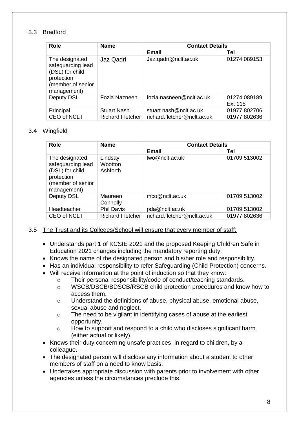# 3.3 Bradford

| <b>Role</b>                                                                                              | <b>Name</b>             | <b>Contact Details</b>      |                                |
|----------------------------------------------------------------------------------------------------------|-------------------------|-----------------------------|--------------------------------|
|                                                                                                          |                         | <b>Email</b>                | Tel                            |
| The designated<br>safeguarding lead<br>(DSL) for child<br>protection<br>(member of senior<br>management) | Jaz Qadri               | Jaz.qadri@nclt.ac.uk        | 01274 089153                   |
| Deputy DSL                                                                                               | Fozia Nazneen           | fozia.nasneen@nclt.ac.uk    | 01274 089189<br><b>Ext 115</b> |
| Principal                                                                                                | <b>Stuart Nash</b>      | stuart.nash@nclt.ac.uk      | 01977 802706                   |
| CEO of NCLT                                                                                              | <b>Richard Fletcher</b> | richard.fletcher@nclt.ac.uk | 01977 802636                   |

# 3.4 Wingfield

| <b>Role</b>                                                                                              | <b>Name</b>                           | <b>Contact Details</b>      |              |
|----------------------------------------------------------------------------------------------------------|---------------------------------------|-----------------------------|--------------|
|                                                                                                          |                                       | <b>Email</b>                | Tel          |
| The designated<br>safeguarding lead<br>(DSL) for child<br>protection<br>(member of senior<br>management) | Lindsay<br><b>Wootton</b><br>Ashforth | lwo@nclt.ac.uk              | 01709 513002 |
| Deputy DSL                                                                                               | Maureen<br>Connolly                   | mco@nclt.ac.uk              | 01709 513002 |
| Headteacher                                                                                              | <b>Phil Davis</b>                     | pda@nclt.ac.uk              | 01709 513002 |
| CEO of NCLT                                                                                              | <b>Richard Fletcher</b>               | richard.fletcher@nclt.ac.uk | 01977 802636 |

#### 3.5 The Trust and its Colleges/School will ensure that every member of staff:

- Understands part 1 of KCSIE 2021 and the proposed Keeping Children Safe in Education 2021 changes including the mandatory reporting duty.
- Knows the name of the designated person and his/her role and responsibility.
- Has an individual responsibility to refer Safeguarding (Child Protection) concerns.
- Will receive information at the point of induction so that they know:
	- o Their personal responsibility/code of conduct/teaching standards.
	- o WSCB/DSCB/BDSCB/RSCB child protection procedures and know how to access them.
	- o Understand the definitions of abuse, physical abuse, emotional abuse, sexual abuse and neglect.
	- o The need to be vigilant in identifying cases of abuse at the earliest opportunity.
	- o How to support and respond to a child who discloses significant harm (either actual or likely).
- Knows their duty concerning unsafe practices, in regard to children, by a colleague.
- The designated person will disclose any information about a student to other members of staff on a need to know basis.
- Undertakes appropriate discussion with parents prior to involvement with other agencies unless the circumstances preclude this.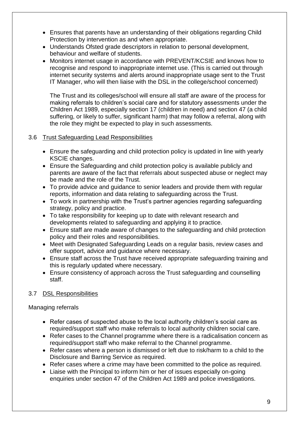- Ensures that parents have an understanding of their obligations regarding Child Protection by intervention as and when appropriate.
- Understands Ofsted grade descriptors in relation to personal development, behaviour and welfare of students.
- Monitors internet usage in accordance with PREVENT/KCSIE and knows how to recognise and respond to inappropriate internet use. (This is carried out through internet security systems and alerts around inappropriate usage sent to the Trust IT Manager, who will then liaise with the DSL in the college/school concerned)

The Trust and its colleges/school will ensure all staff are aware of the process for making referrals to children's social care and for statutory assessments under the Children Act 1989, especially section 17 (children in need) and section 47 (a child suffering, or likely to suffer, significant harm) that may follow a referral, along with the role they might be expected to play in such assessments.

#### 3.6 Trust Safeguarding Lead Responsibilities

- Ensure the safeguarding and child protection policy is updated in line with yearly KSCIE changes.
- Ensure the Safeguarding and child protection policy is available publicly and parents are aware of the fact that referrals about suspected abuse or neglect may be made and the role of the Trust.
- To provide advice and guidance to senior leaders and provide them with regular reports, information and data relating to safeguarding across the Trust.
- To work in partnership with the Trust's partner agencies regarding safeguarding strategy, policy and practice.
- To take responsibility for keeping up to date with relevant research and developments related to safeguarding and applying it to practice.
- Ensure staff are made aware of changes to the safeguarding and child protection policy and their roles and responsibilities.
- Meet with Designated Safeguarding Leads on a regular basis, review cases and offer support, advice and guidance where necessary.
- Ensure staff across the Trust have received appropriate safeguarding training and this is regularly updated where necessary.
- Ensure consistency of approach across the Trust safeguarding and counselling staff.

# 3.7 DSL Responsibilities

Managing referrals

- Refer cases of suspected abuse to the local authority children's social care as required/support staff who make referrals to local authority children social care.
- Refer cases to the Channel programme where there is a radicalisation concern as required/support staff who make referral to the Channel programme.
- Refer cases where a person is dismissed or left due to risk/harm to a child to the Disclosure and Barring Service as required.
- Refer cases where a crime may have been committed to the police as required.
- Liaise with the Principal to inform him or her of issues especially on-going enquiries under section 47 of the Children Act 1989 and police investigations.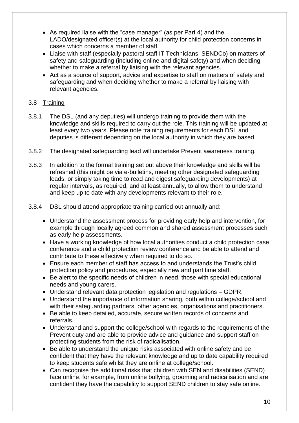- As required liaise with the "case manager" (as per Part 4) and the LADO/designated officer(s) at the local authority for child protection concerns in cases which concerns a member of staff.
- Liaise with staff (especially pastoral staff IT Technicians, SENDCo) on matters of safety and safeguarding (including online and digital safety) and when deciding whether to make a referral by liaising with the relevant agencies.
- Act as a source of support, advice and expertise to staff on matters of safety and safeguarding and when deciding whether to make a referral by liaising with relevant agencies.

# 3.8 Training

- 3.8.1 The DSL (and any deputies) will undergo training to provide them with the knowledge and skills required to carry out the role. This training will be updated at least every two years. Please note training requirements for each DSL and deputies is different depending on the local authority in which they are based.
- 3.8.2 The designated safeguarding lead will undertake Prevent awareness training.
- 3.8.3 In addition to the formal training set out above their knowledge and skills will be refreshed (this might be via e-bulletins, meeting other designated safeguarding leads, or simply taking time to read and digest safeguarding developments) at regular intervals, as required, and at least annually, to allow them to understand and keep up to date with any developments relevant to their role.
- 3.8.4 DSL should attend appropriate training carried out annually and:
	- Understand the assessment process for providing early help and intervention, for example through locally agreed common and shared assessment processes such as early help assessments.
	- Have a working knowledge of how local authorities conduct a child protection case conference and a child protection review conference and be able to attend and contribute to these effectively when required to do so.
	- Ensure each member of staff has access to and understands the Trust's child protection policy and procedures, especially new and part time staff.
	- Be alert to the specific needs of children in need, those with special educational needs and young carers.
	- Understand relevant data protection legislation and regulations GDPR.
	- Understand the importance of information sharing, both within college/school and with their safeguarding partners, other agencies, organisations and practitioners.
	- Be able to keep detailed, accurate, secure written records of concerns and referrals.
	- Understand and support the college/school with regards to the requirements of the Prevent duty and are able to provide advice and guidance and support staff on protecting students from the risk of radicalisation.
	- Be able to understand the unique risks associated with online safety and be confident that they have the relevant knowledge and up to date capability required to keep students safe whilst they are online at college/school.
	- Can recognise the additional risks that children with SEN and disabilities (SEND) face online, for example, from online bullying, grooming and radicalisation and are confident they have the capability to support SEND children to stay safe online.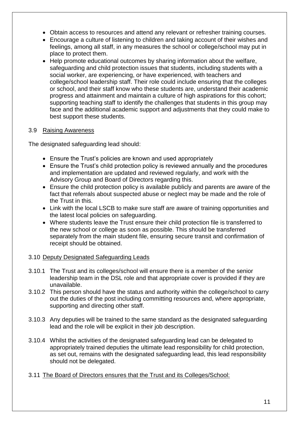- Obtain access to resources and attend any relevant or refresher training courses.
- Encourage a culture of listening to children and taking account of their wishes and feelings, among all staff, in any measures the school or college/school may put in place to protect them.
- Help promote educational outcomes by sharing information about the welfare, safeguarding and child protection issues that students, including students with a social worker, are experiencing, or have experienced, with teachers and college/school leadership staff. Their role could include ensuring that the colleges or school, and their staff know who these students are, understand their academic progress and attainment and maintain a culture of high aspirations for this cohort; supporting teaching staff to identify the challenges that students in this group may face and the additional academic support and adjustments that they could make to best support these students.

# 3.9 Raising Awareness

The designated safeguarding lead should:

- Ensure the Trust's policies are known and used appropriately
- Ensure the Trust's child protection policy is reviewed annually and the procedures and implementation are updated and reviewed regularly, and work with the Advisory Group and Board of Directors regarding this.
- Ensure the child protection policy is available publicly and parents are aware of the fact that referrals about suspected abuse or neglect may be made and the role of the Trust in this.
- Link with the local LSCB to make sure staff are aware of training opportunities and the latest local policies on safeguarding.
- Where students leave the Trust ensure their child protection file is transferred to the new school or college as soon as possible. This should be transferred separately from the main student file, ensuring secure transit and confirmation of receipt should be obtained.

#### 3.10 Deputy Designated Safeguarding Leads

- 3.10.1 The Trust and its colleges/school will ensure there is a member of the senior leadership team in the DSL role and that appropriate cover is provided if they are unavailable.
- 3.10.2 This person should have the status and authority within the college/school to carry out the duties of the post including committing resources and, where appropriate, supporting and directing other staff.
- 3.10.3 Any deputies will be trained to the same standard as the designated safeguarding lead and the role will be explicit in their job description.
- 3.10.4 Whilst the activities of the designated safeguarding lead can be delegated to appropriately trained deputies the ultimate lead responsibility for child protection, as set out, remains with the designated safeguarding lead, this lead responsibility should not be delegated.
- 3.11 The Board of Directors ensures that the Trust and its Colleges/School: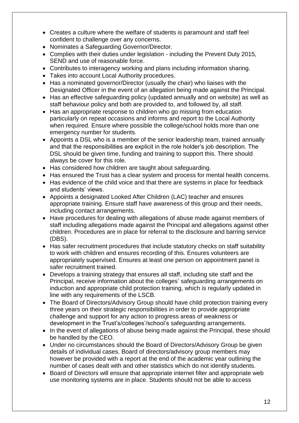- Creates a culture where the welfare of students is paramount and staff feel confident to challenge over any concerns.
- Nominates a Safeguarding Governor/Director.
- Complies with their duties under legislation including the Prevent Duty 2015, SEND and use of reasonable force.
- Contributes to interagency working and plans including information sharing.
- Takes into account Local Authority procedures.
- Has a nominated governor/Director (usually the chair) who liaises with the Designated Officer in the event of an allegation being made against the Principal.
- Has an effective safeguarding policy (updated annually and on website) as well as staff behaviour policy and both are provided to, and followed by, all staff.
- Has an appropriate response to children who go missing from education particularly on repeat occasions and informs and report to the Local Authority when required. Ensure where possible the college/school holds more than one emergency number for students.
- Appoints a DSL who is a member of the senior leadership team, trained annually and that the responsibilities are explicit in the role holder's job description. The DSL should be given time, funding and training to support this. There should always be cover for this role.
- Has considered how children are taught about safeguarding.
- Has ensured the Trust has a clear system and process for mental health concerns.
- Has evidence of the child voice and that there are systems in place for feedback and students' views.
- Appoints a designated Looked After Children (LAC) teacher and ensures appropriate training. Ensure staff have awareness of this group and their needs, including contact arrangements.
- Have procedures for dealing with allegations of abuse made against members of staff including allegations made against the Principal and allegations against other children. Procedures are in place for referral to the disclosure and barring service (DBS).
- Has safer recruitment procedures that include statutory checks on staff suitability to work with children and ensures recording of this. Ensures volunteers are appropriately supervised. Ensures at least one person on appointment panel is safer recruitment trained.
- Develops a training strategy that ensures all staff, including site staff and the Principal, receive information about the colleges' safeguarding arrangements on induction and appropriate child protection training, which is regularly updated in line with any requirements of the LSCB.
- The Board of Directors/Advisory Group should have child protection training every three years on their strategic responsibilities in order to provide appropriate challenge and support for any action to progress areas of weakness or development in the Trust's/colleges'/school's safeguarding arrangements.
- In the event of allegations of abuse being made against the Principal, these should be handled by the CEO.
- Under no circumstances should the Board of Directors/Advisory Group be given details of individual cases. Board of directors/advisory group members may however be provided with a report at the end of the academic year outlining the number of cases dealt with and other statistics which do not identify students.
- Board of Directors will ensure that appropriate internet filter and appropriate web use monitoring systems are in place. Students should not be able to access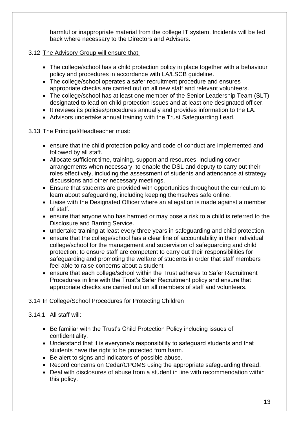harmful or inappropriate material from the college IT system. Incidents will be fed back where necessary to the Directors and Advisers.

# 3.12 The Advisory Group will ensure that:

- The college/school has a child protection policy in place together with a behaviour policy and procedures in accordance with LA/LSCB guideline.
- The college/school operates a safer recruitment procedure and ensures appropriate checks are carried out on all new staff and relevant volunteers.
- The college/school has at least one member of the Senior Leadership Team (SLT) designated to lead on child protection issues and at least one designated officer.
- It reviews its policies/procedures annually and provides information to the LA.
- Advisors undertake annual training with the Trust Safeguarding Lead.

# 3.13 The Principal/Headteacher must:

- ensure that the child protection policy and code of conduct are implemented and followed by all staff.
- Allocate sufficient time, training, support and resources, including cover arrangements when necessary, to enable the DSL and deputy to carry out their roles effectively, including the assessment of students and attendance at strategy discussions and other necessary meetings.
- Ensure that students are provided with opportunities throughout the curriculum to learn about safeguarding, including keeping themselves safe online.
- Liaise with the Designated Officer where an allegation is made against a member of staff.
- ensure that anyone who has harmed or may pose a risk to a child is referred to the Disclosure and Barring Service.
- undertake training at least every three years in safeguarding and child protection.
- ensure that the college/school has a clear line of accountability in their individual college/school for the management and supervision of safeguarding and child protection; to ensure staff are competent to carry out their responsibilities for safeguarding and promoting the welfare of students in order that staff members feel able to raise concerns about a student
- ensure that each college/school within the Trust adheres to Safer Recruitment Procedures in line with the Trust's Safer Recruitment policy and ensure that appropriate checks are carried out on all members of staff and volunteers.

# 3.14 In College/School Procedures for Protecting Children

#### 3.14.1 All staff will:

- Be familiar with the Trust's Child Protection Policy including issues of confidentiality.
- Understand that it is everyone's responsibility to safeguard students and that students have the right to be protected from harm.
- Be alert to signs and indicators of possible abuse.
- Record concerns on Cedar/CPOMS using the appropriate safeguarding thread.
- Deal with disclosures of abuse from a student in line with recommendation within this policy.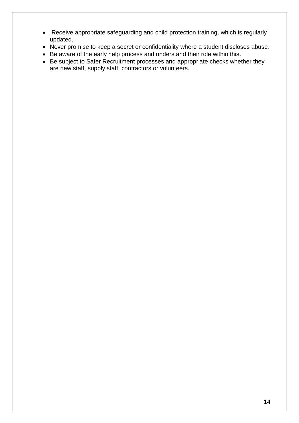- Receive appropriate safeguarding and child protection training, which is regularly updated.
- Never promise to keep a secret or confidentiality where a student discloses abuse.
- Be aware of the early help process and understand their role within this.
- Be subject to Safer Recruitment processes and appropriate checks whether they are new staff, supply staff, contractors or volunteers.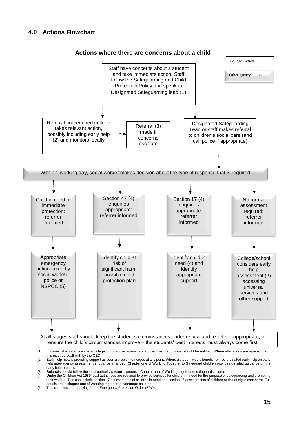#### **4.0 Actions Flowchart**



(5) This could include applying for an Emergency Protection Order (EPO).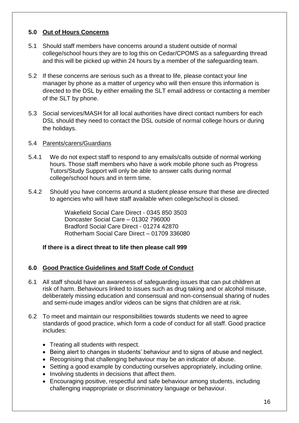# **5.0 Out of Hours Concerns**

- 5.1 Should staff members have concerns around a student outside of normal college/school hours they are to log this on Cedar/CPOMS as a safeguarding thread and this will be picked up within 24 hours by a member of the safeguarding team.
- 5.2 If these concerns are serious such as a threat to life, please contact your line manager by phone as a matter of urgency who will then ensure this information is directed to the DSL by either emailing the SLT email address or contacting a member of the SLT by phone.
- 5.3 Social services/MASH for all local authorities have direct contact numbers for each DSL should they need to contact the DSL outside of normal college hours or during the holidays.

#### 5.4 Parents/carers/Guardians

- 5.4.1 We do not expect staff to respond to any emails/calls outside of normal working hours. Those staff members who have a work mobile phone such as Progress Tutors/Study Support will only be able to answer calls during normal college/school hours and in term time.
- 5.4.2 Should you have concerns around a student please ensure that these are directed to agencies who will have staff available when college/school is closed.

Wakefield Social Care Direct - 0345 850 3503 Doncaster Social Care – 01302 796000 Bradford Social Care Direct - 01274 42870 Rotherham Social Care Direct – 01709 336080

#### **If there is a direct threat to life then please call 999**

#### **6.0 Good Practice Guidelines and Staff Code of Conduct**

- 6.1 All staff should have an awareness of safeguarding issues that can put children at risk of harm. Behaviours linked to issues such as drug taking and or alcohol misuse, deliberately missing education and consensual and non-consensual sharing of nudes and semi-nude images and/or videos can be signs that children are at risk.
- 6.2 To meet and maintain our responsibilities towards students we need to agree standards of good practice, which form a code of conduct for all staff. Good practice includes:
	- Treating all students with respect.
	- Being alert to changes in students' behaviour and to signs of abuse and neglect.
	- Recognising that challenging behaviour may be an indicator of abuse.
	- Setting a good example by conducting ourselves appropriately, including online.
	- Involving students in decisions that affect them.
	- Encouraging positive, respectful and safe behaviour among students, including challenging inappropriate or discriminatory language or behaviour.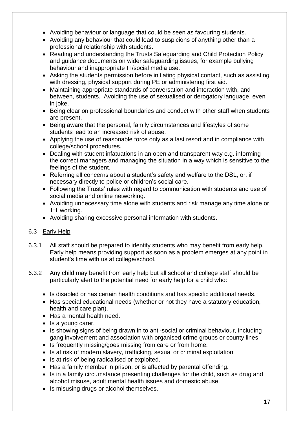- Avoiding behaviour or language that could be seen as favouring students.
- Avoiding any behaviour that could lead to suspicions of anything other than a professional relationship with students.
- Reading and understanding the Trusts Safeguarding and Child Protection Policy and guidance documents on wider safeguarding issues, for example bullying behaviour and inappropriate IT/social media use.
- Asking the students permission before initiating physical contact, such as assisting with dressing, physical support during PE or administering first aid.
- Maintaining appropriate standards of conversation and interaction with, and between, students. Avoiding the use of sexualised or derogatory language, even in joke.
- Being clear on professional boundaries and conduct with other staff when students are present.
- Being aware that the personal, family circumstances and lifestyles of some students lead to an increased risk of abuse.
- Applying the use of reasonable force only as a last resort and in compliance with college/school procedures.
- Dealing with student infatuations in an open and transparent way e.g. informing the correct managers and managing the situation in a way which is sensitive to the feelings of the student.
- Referring all concerns about a student's safety and welfare to the DSL, or, if necessary directly to police or children's social care.
- Following the Trusts' rules with regard to communication with students and use of social media and online networking.
- Avoiding unnecessary time alone with students and risk manage any time alone or 1:1 working.
- Avoiding sharing excessive personal information with students.

# 6.3 Early Help

- 6.3.1 All staff should be prepared to identify students who may benefit from early help. Early help means providing support as soon as a problem emerges at any point in student's time with us at college/school.
- 6.3.2 Any child may benefit from early help but all school and college staff should be particularly alert to the potential need for early help for a child who:
	- Is disabled or has certain health conditions and has specific additional needs.
	- Has special educational needs (whether or not they have a statutory education, health and care plan).
	- Has a mental health need.
	- Is a young carer.
	- Is showing signs of being drawn in to anti-social or criminal behaviour, including gang involvement and association with organised crime groups or county lines.
	- Is frequently missing/goes missing from care or from home.
	- Is at risk of modern slavery, trafficking, sexual or criminal exploitation
	- Is at risk of being radicalised or exploited.
	- Has a family member in prison, or is affected by parental offending.
	- Is in a family circumstance presenting challenges for the child, such as drug and alcohol misuse, adult mental health issues and domestic abuse.
	- Is misusing drugs or alcohol themselves.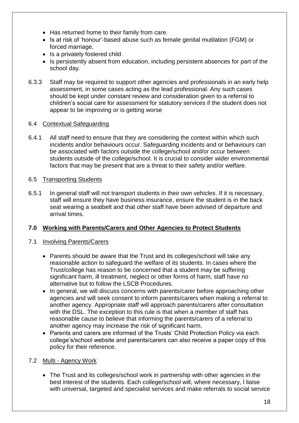- Has returned home to their family from care.
- Is at risk of 'honour'-based abuse such as female genital mutilation (FGM) or forced marriage.
- Is a privately fostered child.
- Is persistently absent from education, including persistent absences for part of the school day.
- 6.3.3 Staff may be required to support other agencies and professionals in an early help assessment, in some cases acting as the lead professional. Any such cases should be kept under constant review and consideration given to a referral to children's social care for assessment for statutory services if the student does not appear to be improving or is getting worse

# 6.4 Contextual Safeguarding

6.4.1 All staff need to ensure that they are considering the context within which such incidents and/or behaviours occur. Safeguarding incidents and or behaviours can be associated with factors outside the college/school and/or occur between students outside of the college/school. It is crucial to consider wider environmental factors that may be present that are a threat to their safety and/or welfare.

# 6.5 Transporting Students

6.5.1 In general staff will not transport students in their own vehicles. If it is necessary, staff will ensure they have business insurance, ensure the student is in the back seat wearing a seatbelt and that other staff have been advised of departure and arrival times.

# **7.0 Working with Parents/Carers and Other Agencies to Protect Students**

# 7.1 Involving Parents/Carers

- Parents should be aware that the Trust and its colleges/school will take any reasonable action to safeguard the welfare of its students. In cases where the Trust/college has reason to be concerned that a student may be suffering significant harm, ill treatment, neglect or other forms of harm, staff have no alternative but to follow the LSCB Procedures.
- In general, we will discuss concerns with parents/carer before approaching other agencies and will seek consent to inform parents/carers when making a referral to another agency. Appropriate staff will approach parents/carers after consultation with the DSL. The exception to this rule is that when a member of staff has reasonable cause to believe that informing the parents/carers of a referral to another agency may increase the risk of significant harm.
- Parents and carers are informed of the Trusts' Child Protection Policy via each college's/school website and parents/carers can also receive a paper copy of this policy for their reference.

# 7.2 Multi - Agency Work

• The Trust and its colleges/school work in partnership with other agencies in the best interest of the students. Each college/school will, where necessary, l liaise with universal, targeted and specialist services and make referrals to social service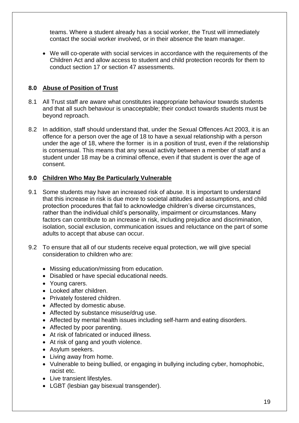teams. Where a student already has a social worker, the Trust will immediately contact the social worker involved, or in their absence the team manager.

• We will co-operate with social services in accordance with the requirements of the Children Act and allow access to student and child protection records for them to conduct section 17 or section 47 assessments.

# **8.0 Abuse of Position of Trust**

- 8.1 All Trust staff are aware what constitutes inappropriate behaviour towards students and that all such behaviour is unacceptable; their conduct towards students must be beyond reproach.
- 8.2 In addition, staff should understand that, under the Sexual Offences Act 2003, it is an offence for a person over the age of 18 to have a sexual relationship with a person under the age of 18, where the former is in a position of trust, even if the relationship is consensual. This means that any sexual activity between a member of staff and a student under 18 may be a criminal offence, even if that student is over the age of consent.

# **9.0 Children Who May Be Particularly Vulnerable**

- 9.1 Some students may have an increased risk of abuse. It is important to understand that this increase in risk is due more to societal attitudes and assumptions, and child protection procedures that fail to acknowledge children's diverse circumstances, rather than the individual child's personality, impairment or circumstances. Many factors can contribute to an increase in risk, including prejudice and discrimination, isolation, social exclusion, communication issues and reluctance on the part of some adults to accept that abuse can occur.
- 9.2 To ensure that all of our students receive equal protection, we will give special consideration to children who are:
	- Missing education/missing from education.
	- Disabled or have special educational needs.
	- Young carers.
	- Looked after children.
	- Privately fostered children.
	- Affected by domestic abuse.
	- Affected by substance misuse/drug use.
	- Affected by mental health issues including self-harm and eating disorders.
	- Affected by poor parenting.
	- At risk of fabricated or induced illness.
	- At risk of gang and youth violence.
	- Asylum seekers.
	- Living away from home.
	- Vulnerable to being bullied, or engaging in bullying including cyber, homophobic, racist etc.
	- Live transient lifestyles.
	- LGBT (lesbian gay bisexual transgender).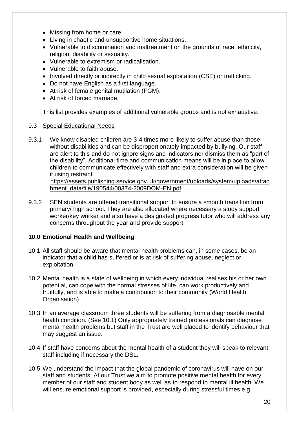- Missing from home or care.
- Living in chaotic and unsupportive home situations.
- Vulnerable to discrimination and maltreatment on the grounds of race, ethnicity, religion, disability or sexuality.
- Vulnerable to extremism or radicalisation.
- Vulnerable to faith abuse.
- Involved directly or indirectly in child sexual exploitation (CSE) or trafficking.
- Do not have English as a first language.
- At risk of female genital mutilation (FGM).
- At risk of forced marriage.

This list provides examples of additional vulnerable groups and is not exhaustive.

#### 9.3 Special Educational Needs

9.3.1 We know disabled children are 3-4 times more likely to suffer abuse than those without disabilities and can be disproportionately impacted by bullying. Our staff are alert to this and do not ignore signs and indicators nor dismiss them as "part of the disability". Additional time and communication means will be in place to allow children to communicate effectively with staff and extra consideration will be given if using restraint.

[https://assets.publishing.service.gov.uk/government/uploads/system/uploads/attac](https://assets.publishing.service.gov.uk/government/uploads/system/uploads/attachment_data/file/190544/00374-2009DOM-EN.pdf) [hment\\_data/file/190544/00374-2009DOM-EN.pdf](https://assets.publishing.service.gov.uk/government/uploads/system/uploads/attachment_data/file/190544/00374-2009DOM-EN.pdf)

9.3.2 SEN students are offered transitional support to ensure a smooth transition from primary/ high school. They are also allocated where necessary a study support worker/key worker and also have a designated progress tutor who will address any concerns throughout the year and provide support.

#### **10.0 Emotional Health and Wellbeing**

- 10.1 All staff should be aware that mental health problems can, in some cases, be an indicator that a child has suffered or is at risk of suffering abuse, neglect or exploitation.
- 10.2 Mental health is a state of wellbeing in which every individual realises his or her own potential, can cope with the normal stresses of life, can work productively and fruitfully, and is able to make a contribution to their community (World Health Organisation)
- 10.3 In an average classroom three students will be suffering from a diagnosable mental health condition. (See 10.1) Only appropriately trained professionals can diagnose mental health problems but staff in the Trust are well placed to identify behaviour that may suggest an issue.
- 10.4 If staff have concerns about the mental health of a student they will speak to relevant staff including if necessary the DSL.
- 10.5 We understand the impact that the global pandemic of coronavirus will have on our staff and students. At our Trust we aim to promote positive mental health for every member of our staff and student body as well as to respond to mental ill health. We will ensure emotional support is provided, especially during stressful times e.g.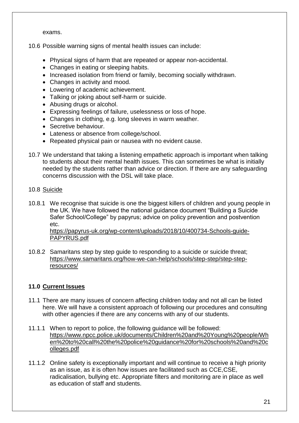exams.

10.6 Possible warning signs of mental health issues can include:

- Physical signs of harm that are repeated or appear non-accidental.
- Changes in eating or sleeping habits.
- Increased isolation from friend or family, becoming socially withdrawn.
- Changes in activity and mood.
- Lowering of academic achievement.
- Talking or joking about self-harm or suicide.
- Abusing drugs or alcohol.
- Expressing feelings of failure, uselessness or loss of hope.
- Changes in clothing, e.g. long sleeves in warm weather.
- Secretive behaviour.
- Lateness or absence from college/school.
- Repeated physical pain or nausea with no evident cause.
- 10.7 We understand that taking a listening empathetic approach is important when talking to students about their mental health issues. This can sometimes be what is initially needed by the students rather than advice or direction. If there are any safeguarding concerns discussion with the DSL will take place.
- 10.8 Suicide
- 10.8.1 We recognise that suicide is one the biggest killers of children and young people in the UK. We have followed the national guidance document "Building a Suicide Safer School/College" by papyrus; advice on policy prevention and postvention etc.

[https://papyrus-uk.org/wp-content/uploads/2018/10/400734-Schools-guide-](https://papyrus-uk.org/wp-content/uploads/2018/10/400734-Schools-guide-PAPYRUS.pdf)[PAPYRUS.pdf](https://papyrus-uk.org/wp-content/uploads/2018/10/400734-Schools-guide-PAPYRUS.pdf)

10.8.2 Samaritans step by step guide to responding to a suicide or suicide threat; [https://www.samaritans.org/how-we-can-help/schools/step-step/step-step](https://www.samaritans.org/how-we-can-help/schools/step-step/step-step-resources/)[resources/](https://www.samaritans.org/how-we-can-help/schools/step-step/step-step-resources/)

# **11.0 Current Issues**

- 11.1 There are many issues of concern affecting children today and not all can be listed here. We will have a consistent approach of following our procedures and consulting with other agencies if there are any concerns with any of our students.
- 11.1.1 When to report to police, the following guidance will be followed: [https://www.npcc.police.uk/documents/Children%20and%20Young%20people/Wh](https://www.npcc.police.uk/documents/Children%20and%20Young%20people/When%20to%20call%20the%20police%20guidance%20for%20schools%20and%20colleges.pdf) [en%20to%20call%20the%20police%20guidance%20for%20schools%20and%20c](https://www.npcc.police.uk/documents/Children%20and%20Young%20people/When%20to%20call%20the%20police%20guidance%20for%20schools%20and%20colleges.pdf) [olleges.pdf](https://www.npcc.police.uk/documents/Children%20and%20Young%20people/When%20to%20call%20the%20police%20guidance%20for%20schools%20and%20colleges.pdf)
- 11.1.2 Online safety is exceptionally important and will continue to receive a high priority as an issue, as it is often how issues are facilitated such as CCE,CSE, radicalisation, bullying etc. Appropriate filters and monitoring are in place as well as education of staff and students.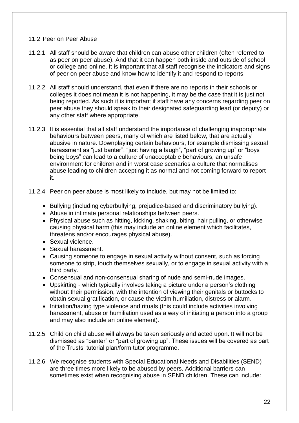#### 11.2 Peer on Peer Abuse

- 11.2.1 All staff should be aware that children can abuse other children (often referred to as peer on peer abuse). And that it can happen both inside and outside of school or college and online. It is important that all staff recognise the indicators and signs of peer on peer abuse and know how to identify it and respond to reports.
- 11.2.2 All staff should understand, that even if there are no reports in their schools or colleges it does not mean it is not happening, it may be the case that it is just not being reported. As such it is important if staff have any concerns regarding peer on peer abuse they should speak to their designated safeguarding lead (or deputy) or any other staff where appropriate.
- 11.2.3 It is essential that all staff understand the importance of challenging inappropriate behaviours between peers, many of which are listed below, that are actually abusive in nature. Downplaying certain behaviours, for example dismissing sexual harassment as "just banter", "just having a laugh", "part of growing up" or "boys being boys" can lead to a culture of unacceptable behaviours, an unsafe environment for children and in worst case scenarios a culture that normalises abuse leading to children accepting it as normal and not coming forward to report it.
- 11.2.4 Peer on peer abuse is most likely to include, but may not be limited to:
	- Bullying (including cyberbullying, prejudice-based and discriminatory bullying).
	- Abuse in intimate personal relationships between peers.
	- Physical abuse such as hitting, kicking, shaking, biting, hair pulling, or otherwise causing physical harm (this may include an online element which facilitates, threatens and/or encourages physical abuse).
	- Sexual violence.
	- Sexual harassment.
	- Causing someone to engage in sexual activity without consent, such as forcing someone to strip, touch themselves sexually, or to engage in sexual activity with a third party.
	- Consensual and non-consensual sharing of nude and semi-nude images.
	- Upskirting which typically involves taking a picture under a person's clothing without their permission, with the intention of viewing their genitals or buttocks to obtain sexual gratification, or cause the victim humiliation, distress or alarm.
	- Initiation/hazing type violence and rituals (this could include activities involving harassment, abuse or humiliation used as a way of initiating a person into a group and may also include an online element).
- 11.2.5 Child on child abuse will always be taken seriously and acted upon. It will not be dismissed as "banter" or "part of growing up". These issues will be covered as part of the Trusts' tutorial plan/form tutor programme.
- 11.2.6 We recognise students with Special Educational Needs and Disabilities (SEND) are three times more likely to be abused by peers. Additional barriers can sometimes exist when recognising abuse in SEND children. These can include: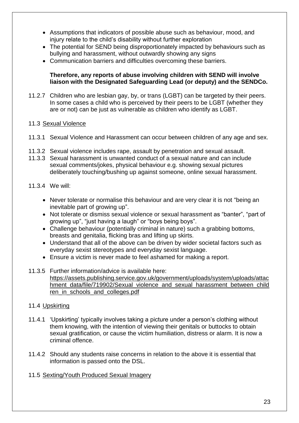- Assumptions that indicators of possible abuse such as behaviour, mood, and injury relate to the child's disability without further exploration
- The potential for SEND being disproportionately impacted by behaviours such as bullying and harassment, without outwardly showing any signs
- Communication barriers and difficulties overcoming these barriers.

## **Therefore, any reports of abuse involving children with SEND will involve liaison with the Designated Safeguarding Lead (or deputy) and the SENDCo.**

11.2.7 Children who are lesbian gay, by, or trans (LGBT) can be targeted by their peers. In some cases a child who is perceived by their peers to be LGBT (whether they are or not) can be just as vulnerable as children who identify as LGBT.

#### 11.3 Sexual Violence

- 11.3.1 Sexual Violence and Harassment can occur between children of any age and sex.
- 11.3.2 Sexual violence includes rape, assault by penetration and sexual assault.
- 11.3.3 Sexual harassment is unwanted conduct of a sexual nature and can include sexual comments/jokes, physical behaviour e.g. showing sexual pictures deliberately touching/bushing up against someone, online sexual harassment.

# 11.3.4 We will:

- Never tolerate or normalise this behaviour and are very clear it is not "being an inevitable part of growing up".
- Not tolerate or dismiss sexual violence or sexual harassment as "banter", "part of growing up", "just having a laugh" or "boys being boys".
- Challenge behaviour (potentially criminal in nature) such a grabbing bottoms, breasts and genitalia, flicking bras and lifting up skirts.
- Understand that all of the above can be driven by wider societal factors such as everyday sexist stereotypes and everyday sexist language.
- Ensure a victim is never made to feel ashamed for making a report.

#### 11.3.5 Further information/advice is available here: [https://assets.publishing.service.gov.uk/government/uploads/system/uploads/attac](https://assets.publishing.service.gov.uk/government/uploads/system/uploads/attachment_data/file/719902/Sexual_violence_and_sexual_harassment_between_children_in_schools_and_colleges.pdf) hment data/file/719902/Sexual violence and sexual harassment between child ren in schools and colleges.pdf

# 11.4 Upskirting

- 11.4.1 'Upskirting' typically involves taking a picture under a person's clothing without them knowing, with the intention of viewing their genitals or buttocks to obtain sexual gratification, or cause the victim humiliation, distress or alarm. It is now a criminal offence.
- 11.4.2 Should any students raise concerns in relation to the above it is essential that information is passed onto the DSL.
- 11.5 Sexting/Youth Produced Sexual Imagery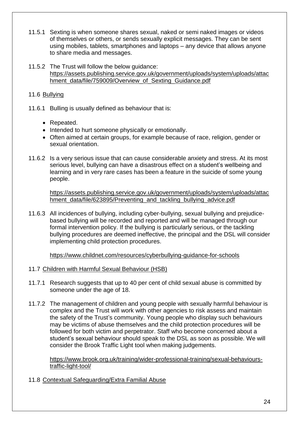- 11.5.1 Sexting is when someone shares sexual, naked or semi naked images or videos of themselves or others, or sends sexually explicit messages. They can be sent using mobiles, tablets, smartphones and laptops – any device that allows anyone to share media and messages.
- 11.5.2 The Trust will follow the below guidance: [https://assets.publishing.service.gov.uk/government/uploads/system/uploads/attac](https://assets.publishing.service.gov.uk/government/uploads/system/uploads/attachment_data/file/759009/Overview_of_Sexting_Guidance.pdf) [hment\\_data/file/759009/Overview\\_of\\_Sexting\\_Guidance.pdf](https://assets.publishing.service.gov.uk/government/uploads/system/uploads/attachment_data/file/759009/Overview_of_Sexting_Guidance.pdf)
- 11.6 Bullying
- 11.6.1 Bulling is usually defined as behaviour that is:
	- Repeated.
	- Intended to hurt someone physically or emotionally.
	- Often aimed at certain groups, for example because of race, religion, gender or sexual orientation.
- 11.6.2 Is a very serious issue that can cause considerable anxiety and stress. At its most serious level, bullying can have a disastrous effect on a student's wellbeing and learning and in very rare cases has been a feature in the suicide of some young people.

[https://assets.publishing.service.gov.uk/government/uploads/system/uploads/attac](https://assets.publishing.service.gov.uk/government/uploads/system/uploads/attachment_data/file/623895/Preventing_and_tackling_bullying_advice.pdf) hment data/file/623895/Preventing and tackling bullying advice.pdf

11.6.3 All incidences of bullying, including cyber-bullying, sexual bullying and prejudicebased bullying will be recorded and reported and will be managed through our formal intervention policy. If the bullying is particularly serious, or the tackling bullying procedures are deemed ineffective, the principal and the DSL will consider implementing child protection procedures.

<https://www.childnet.com/resources/cyberbullying-guidance-for-schools>

#### 11.7 Children with Harmful Sexual Behaviour (HSB)

- 11.7.1 Research suggests that up to 40 per cent of child sexual abuse is committed by someone under the age of 18.
- 11.7.2 The management of children and young people with sexually harmful behaviour is complex and the Trust will work with other agencies to risk assess and maintain the safety of the Trust's community. Young people who display such behaviours may be victims of abuse themselves and the child protection procedures will be followed for both victim and perpetrator. Staff who become concerned about a student's sexual behaviour should speak to the DSL as soon as possible. We will consider the Brook Traffic Light tool when making judgements.

[https://www.brook.org.uk/training/wider-professional-training/sexual-behaviours](https://www.brook.org.uk/training/wider-professional-training/sexual-behaviours-traffic-light-tool/)[traffic-light-tool/](https://www.brook.org.uk/training/wider-professional-training/sexual-behaviours-traffic-light-tool/)

11.8 Contextual Safeguarding/Extra Familial Abuse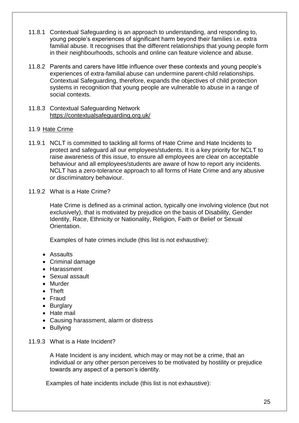- 11.8.1 Contextual Safeguarding is an approach to understanding, and responding to, young people's experiences of significant harm beyond their families i.e. extra familial abuse. It recognises that the different relationships that young people form in their neighbourhoods, schools and online can feature violence and abuse.
- 11.8.2 Parents and carers have little influence over these contexts and young people's experiences of extra-familial abuse can undermine parent-child relationships. Contextual Safeguarding, therefore, expands the objectives of child protection systems in recognition that young people are vulnerable to abuse in a range of social contexts.
- 11.8.3 Contextual Safeguarding Network <https://contextualsafeguarding.org.uk/>

#### 11.9 Hate Crime

- 11.9.1 NCLT is committed to tackling all forms of Hate Crime and Hate Incidents to protect and safeguard all our employees/students. It is a key priority for NCLT to raise awareness of this issue, to ensure all employees are clear on acceptable behaviour and all employees/students are aware of how to report any incidents. NCLT has a zero-tolerance approach to all forms of Hate Crime and any abusive or discriminatory behaviour.
- 11.9.2 What is a Hate Crime?

Hate Crime is defined as a criminal action, typically one involving violence (but not exclusively), that is motivated by prejudice on the basis of Disability, Gender Identity, Race, Ethnicity or Nationality, Religion, Faith or Belief or Sexual Orientation.

Examples of hate crimes include (this list is not exhaustive):

- Assaults
- Criminal damage
- Harassment
- Sexual assault
- Murder
- Theft
- Fraud
- Burglary
- Hate mail
- Causing harassment, alarm or distress
- Bullying

#### 11.9.3 What is a Hate Incident?

A Hate Incident is any incident, which may or may not be a crime, that an individual or any other person perceives to be motivated by hostility or prejudice towards any aspect of a person's identity.

Examples of hate incidents include (this list is not exhaustive):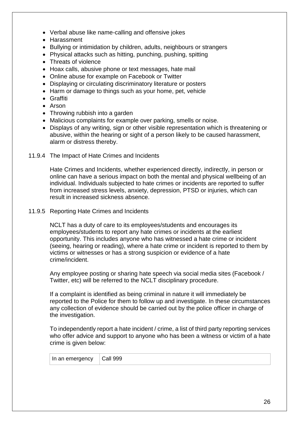- Verbal abuse like name-calling and offensive jokes
- Harassment
- Bullying or intimidation by children, adults, neighbours or strangers
- Physical attacks such as hitting, punching, pushing, spitting
- Threats of violence
- Hoax calls, abusive phone or text messages, hate mail
- Online abuse for example on Facebook or Twitter
- Displaying or circulating discriminatory literature or posters
- Harm or damage to things such as your home, pet, vehicle
- Graffiti
- Arson
- Throwing rubbish into a garden
- Malicious complaints for example over parking, smells or noise.
- Displays of any writing, sign or other visible representation which is threatening or abusive, within the hearing or sight of a person likely to be caused harassment, alarm or distress thereby.
- 11.9.4 The Impact of Hate Crimes and Incidents

Hate Crimes and Incidents, whether experienced directly, indirectly, in person or online can have a serious impact on both the mental and physical wellbeing of an individual. Individuals subjected to hate crimes or incidents are reported to suffer from increased stress levels, anxiety, depression, PTSD or injuries, which can result in increased sickness absence.

11.9.5 Reporting Hate Crimes and Incidents

NCLT has a duty of care to its employees/students and encourages its employees/students to report any hate crimes or incidents at the earliest opportunity. This includes anyone who has witnessed a hate crime or incident (seeing, hearing or reading), where a hate crime or incident is reported to them by victims or witnesses or has a strong suspicion or evidence of a hate crime/incident.

Any employee posting or sharing hate speech via social media sites (Facebook / Twitter, etc) will be referred to the NCLT disciplinary procedure.

If a complaint is identified as being criminal in nature it will immediately be reported to the Police for them to follow up and investigate. In these circumstances any collection of evidence should be carried out by the police officer in charge of the investigation.

To independently report a hate incident / crime, a list of third party reporting services who offer advice and support to anyone who has been a witness or victim of a hate crime is given below:

| $\vert$ In an emergency $\vert$ Call 999 |  |
|------------------------------------------|--|
|------------------------------------------|--|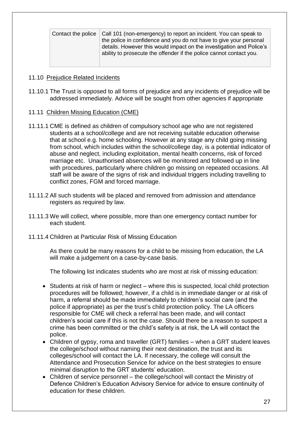| Contact the police   Call 101 (non-emergency) to report an incident. You can speak to<br>the police in confidence and you do not have to give your personal<br>details. However this would impact on the investigation and Police's<br>ability to prosecute the offender if the police cannot contact you. |
|------------------------------------------------------------------------------------------------------------------------------------------------------------------------------------------------------------------------------------------------------------------------------------------------------------|
|                                                                                                                                                                                                                                                                                                            |

#### 11.10 Prejudice Related Incidents

- 11.10.1 The Trust is opposed to all forms of prejudice and any incidents of prejudice will be addressed immediately. Advice will be sought from other agencies if appropriate
- 11.11 Children Missing Education (CME)
- 11.11.1 CME is defined as children of compulsory school age who are not registered students at a school/college and are not receiving suitable education otherwise that at school e.g. home schooling. However at any stage any child going missing from school, which includes within the school/college day, is a potential indicator of abuse and neglect, including exploitation, mental health concerns, risk of forced marriage etc. Unauthorised absences will be monitored and followed up in line with procedures, particularly where children go missing on repeated occasions. All staff will be aware of the signs of risk and individual triggers including travelling to conflict zones, FGM and forced marriage.
- 11.11.2 All such students will be placed and removed from admission and attendance registers as required by law.
- 11.11.3 We will collect, where possible, more than one emergency contact number for each student.
- 11.11.4 Children at Particular Risk of Missing Education

As there could be many reasons for a child to be missing from education, the LA will make a judgement on a case-by-case basis.

The following list indicates students who are most at risk of missing education:

- Students at risk of harm or neglect where this is suspected, local child protection procedures will be followed; however, if a child is in immediate danger or at risk of harm, a referral should be made immediately to children's social care (and the police if appropriate) as per the trust's child protection policy. The LA officers responsible for CME will check a referral has been made, and will contact children's social care if this is not the case. Should there be a reason to suspect a crime has been committed or the child's safety is at risk, the LA will contact the police.
- Children of gypsy, roma and traveller (GRT) families when a GRT student leaves the college/school without naming their next destination, the trust and its colleges/school will contact the LA. If necessary, the college will consult the Attendance and Prosecution Service for advice on the best strategies to ensure minimal disruption to the GRT students' education.
- Children of service personnel the college/school will contact the Ministry of Defence Children's Education Advisory Service for advice to ensure continuity of education for these children.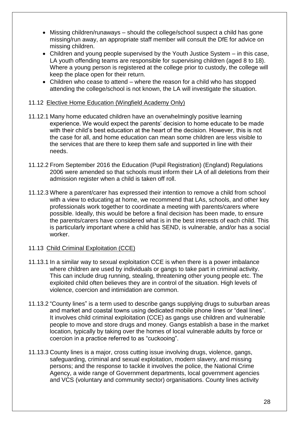- Missing children/runaways should the college/school suspect a child has gone missing/run away, an appropriate staff member will consult the DfE for advice on missing children.
- Children and young people supervised by the Youth Justice System in this case, LA youth offending teams are responsible for supervising children (aged 8 to 18). Where a young person is registered at the college prior to custody, the college will keep the place open for their return.
- Children who cease to attend where the reason for a child who has stopped attending the college/school is not known, the LA will investigate the situation.

#### 11.12 Elective Home Education (Wingfield Academy Only)

- 11.12.1 Many home educated children have an overwhelmingly positive learning experience. We would expect the parents' decision to home educate to be made with their child's best education at the heart of the decision. However, this is not the case for all, and home education can mean some children are less visible to the services that are there to keep them safe and supported in line with their needs.
- 11.12.2 From September 2016 the Education (Pupil Registration) (England) Regulations 2006 were amended so that schools must inform their LA of all deletions from their admission register when a child is taken off roll.
- 11.12.3 Where a parent/carer has expressed their intention to remove a child from school with a view to educating at home, we recommend that LAs, schools, and other key professionals work together to coordinate a meeting with parents/carers where possible. Ideally, this would be before a final decision has been made, to ensure the parents/carers have considered what is in the best interests of each child. This is particularly important where a child has SEND, is vulnerable, and/or has a social worker.

#### 11.13 Child Criminal Exploitation (CCE)

- 11.13.1 In a similar way to sexual exploitation CCE is when there is a power imbalance where children are used by individuals or gangs to take part in criminal activity. This can include drug running, stealing, threatening other young people etc. The exploited child often believes they are in control of the situation. High levels of violence, coercion and intimidation are common.
- 11.13.2 "County lines" is a term used to describe gangs supplying drugs to suburban areas and market and coastal towns using dedicated mobile phone lines or "deal lines". It involves child criminal exploitation (CCE) as gangs use children and vulnerable people to move and store drugs and money. Gangs establish a base in the market location, typically by taking over the homes of local vulnerable adults by force or coercion in a practice referred to as "cuckooing".
- 11.13.3 County lines is a major, cross cutting issue involving drugs, violence, gangs, safeguarding, criminal and sexual exploitation, modern slavery, and missing persons; and the response to tackle it involves the police, the National Crime Agency, a wide range of Government departments, local government agencies and VCS (voluntary and community sector) organisations. County lines activity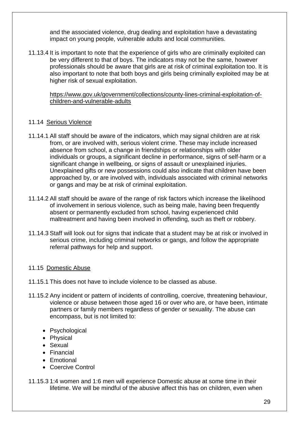and the associated violence, drug dealing and exploitation have a devastating impact on young people, vulnerable adults and local communities.

11.13.4 It is important to note that the experience of girls who are criminally exploited can be very different to that of boys. The indicators may not be the same, however professionals should be aware that girls are at risk of criminal exploitation too. It is also important to note that both boys and girls being criminally exploited may be at higher risk of sexual exploitation.

[https://www.gov.uk/government/collections/county-lines-criminal-exploitation-of](https://www.gov.uk/government/collections/county-lines-criminal-exploitation-of-children-and-vulnerable-adults)[children-and-vulnerable-adults](https://www.gov.uk/government/collections/county-lines-criminal-exploitation-of-children-and-vulnerable-adults)

#### 11.14 Serious Violence

- 11.14.1 All staff should be aware of the indicators, which may signal children are at risk from, or are involved with, serious violent crime. These may include increased absence from school, a change in friendships or relationships with older individuals or groups, a significant decline in performance, signs of self-harm or a significant change in wellbeing, or signs of assault or unexplained injuries. Unexplained gifts or new possessions could also indicate that children have been approached by, or are involved with, individuals associated with criminal networks or gangs and may be at risk of criminal exploitation.
- 11.14.2 All staff should be aware of the range of risk factors which increase the likelihood of involvement in serious violence, such as being male, having been frequently absent or permanently excluded from school, having experienced child maltreatment and having been involved in offending, such as theft or robbery.
- 11.14.3 Staff will look out for signs that indicate that a student may be at risk or involved in serious crime, including criminal networks or gangs, and follow the appropriate referral pathways for help and support.

#### 11.15 Domestic Abuse

- 11.15.1 This does not have to include violence to be classed as abuse.
- 11.15.2 Any incident or pattern of incidents of controlling, coercive, threatening behaviour, violence or abuse between those aged 16 or over who are, or have been, intimate partners or family members regardless of gender or sexuality. The abuse can encompass, but is not limited to:
	- Psychological
	- Physical
	- Sexual
	- Financial
	- Emotional
	- Coercive Control
- 11.15.3 1:4 women and 1:6 men will experience Domestic abuse at some time in their lifetime. We will be mindful of the abusive affect this has on children, even when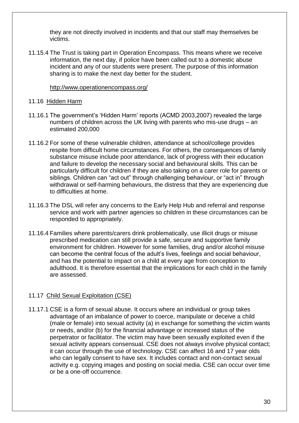they are not directly involved in incidents and that our staff may themselves be victims.

11.15.4 The Trust is taking part in Operation Encompass. This means where we receive information, the next day, if police have been called out to a domestic abuse incident and any of our students were present. The purpose of this information sharing is to make the next day better for the student.

<http://www.operationencompass.org/>

#### 11.16 Hidden Harm

- 11.16.1 The government's 'Hidden Harm' reports (ACMD 2003,2007) revealed the large numbers of children across the UK living with parents who mis-use drugs – an estimated 200,000
- 11.16.2 For some of these vulnerable children, attendance at school/college provides respite from difficult home circumstances. For others, the consequences of family substance misuse include poor attendance, lack of progress with their education and failure to develop the necessary social and behavioural skills. This can be particularly difficult for children if they are also taking on a carer role for parents or siblings. Children can "act out" through challenging behaviour, or "act in" through withdrawal or self-harming behaviours, the distress that they are experiencing due to difficulties at home.
- 11.16.3 The DSL will refer any concerns to the Early Help Hub and referral and response service and work with partner agencies so children in these circumstances can be responded to appropriately.
- 11.16.4 Families where parents/carers drink problematically, use illicit drugs or misuse prescribed medication can still provide a safe, secure and supportive family environment for children. However for some families, drug and/or alcohol misuse can become the central focus of the adult's lives, feelings and social behaviour, and has the potential to impact on a child at every age from conception to adulthood. It is therefore essential that the implications for each child in the family are assessed.

#### 11.17 Child Sexual Exploitation (CSE)

11.17.1 CSE is a form of sexual abuse. It occurs where an individual or group takes advantage of an imbalance of power to coerce, manipulate or deceive a child (male or female) into sexual activity (a) in exchange for something the victim wants or needs, and/or (b) for the financial advantage or increased status of the perpetrator or facilitator. The victim may have been sexually exploited even if the sexual activity appears consensual. CSE does not always involve physical contact; it can occur through the use of technology. CSE can affect 16 and 17 year olds who can legally consent to have sex. It includes contact and non-contact sexual activity e.g. copying images and posting on social media. CSE can occur over time or be a one-off occurrence.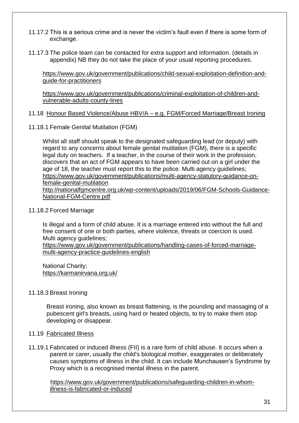- 11.17.2 This is a serious crime and is never the victim's fault even if there is some form of exchange.
- 11.17.3 The police team can be contacted for extra support and information. (details in appendix) NB they do not take the place of your usual reporting procedures.

[https://www.gov.uk/government/publications/child-sexual-exploitation-definition-and](https://www.gov.uk/government/publications/child-sexual-exploitation-definition-and-guide-for-practitioners)[guide-for-practitioners](https://www.gov.uk/government/publications/child-sexual-exploitation-definition-and-guide-for-practitioners)

[https://www.gov.uk/government/publications/criminal-exploitation-of-children-and](https://www.gov.uk/government/publications/criminal-exploitation-of-children-and-vulnerable-adults-county-lines)[vulnerable-adults-county-lines](https://www.gov.uk/government/publications/criminal-exploitation-of-children-and-vulnerable-adults-county-lines)

#### 11.18 Honour Based Violence/Abuse HBV/A – e.g. FGM/Forced Marriage/Breast Ironing

11.18.1 Female Genital Mutilation (FGM)

Whilst all staff should speak to the designated safeguarding lead (or deputy) with regard to any concerns about female genital mutilation (FGM), there is a specific legal duty on teachers. If a teacher, in the course of their work in the profession, discovers that an act of FGM appears to have been carried out on a girl under the age of 18, the teacher must report this to the police. Multi agency guidelines; [https://www.gov.uk/government/publications/multi-agency-statutory-guidance-on](https://www.gov.uk/government/publications/multi-agency-statutory-guidance-on-female-genital-mutilation)[female-genital-mutilation](https://www.gov.uk/government/publications/multi-agency-statutory-guidance-on-female-genital-mutilation)

[http://nationalfgmcentre.org.uk/wp-content/uploads/2019/06/FGM-Schools-Guidance-](http://nationalfgmcentre.org.uk/wp-content/uploads/2019/06/FGM-Schools-Guidance-National-FGM-Centre.pdf)[National-FGM-Centre.pdf](http://nationalfgmcentre.org.uk/wp-content/uploads/2019/06/FGM-Schools-Guidance-National-FGM-Centre.pdf)

11.18.2 Forced Marriage

Is illegal and a form of child abuse. It is a marriage entered into without the full and free consent of one or both parties, where violence, threats or coercion is used. Multi agency guidelines;

[https://www.gov.uk/government/publications/handling-cases-of-forced-marriage](https://www.gov.uk/government/publications/handling-cases-of-forced-marriage-multi-agency-practice-guidelines-english)[multi-agency-practice-guidelines-english](https://www.gov.uk/government/publications/handling-cases-of-forced-marriage-multi-agency-practice-guidelines-english)

National Charity; <https://karmanirvana.org.uk/>

#### 11.18.3 Breast Ironing

Breast ironing, also known as breast flattening, is the pounding and massaging of a pubescent girl's breasts, using hard or heated objects, to try to make them stop developing or disappear.

- 11.19 Fabricated Illness
- 11.19.1 Fabricated or induced illness (FII) is a rare form of child abuse. It occurs when a parent or carer, usually the child's biological mother, exaggerates or deliberately causes symptoms of illness in the child. It can include Munchausen's Syndrome by Proxy which is a recognised mental illness in the parent.

[https://www.gov.uk/government/publications/safeguarding-children-in-whom](https://www.gov.uk/government/publications/safeguarding-children-in-whom-illness-is-fabricated-or-induced)[illness-is-fabricated-or-induced](https://www.gov.uk/government/publications/safeguarding-children-in-whom-illness-is-fabricated-or-induced)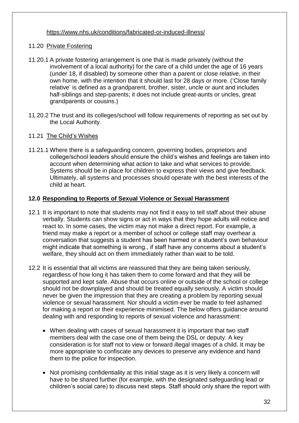#### <https://www.nhs.uk/conditions/fabricated-or-induced-illness/>

## 11.20 Private Fostering

- 11.20.1 A private fostering arrangement is one that is made privately (without the involvement of a local authority) for the care of a child under the age of 16 years (under 18, if disabled) by someone other than a parent or close relative, in their own home, with the intention that it should last for 28 days or more. ('Close family relative' is defined as a grandparent, brother, sister, uncle or aunt and includes half-siblings and step-parents; it does not include great-aunts or uncles, great grandparents or cousins.)
- 11.20.2 The trust and its colleges/school will follow requirements of reporting as set out by the Local Authority.

#### 11.21 The Child's Wishes

11.21.1 Where there is a safeguarding concern, governing bodies, proprietors and college/school leaders should ensure the child's wishes and feelings are taken into account when determining what action to take and what services to provide. Systems should be in place for children to express their views and give feedback. Ultimately, all systems and processes should operate with the best interests of the child at heart.

#### **12.0 Responding to Reports of Sexual Violence or Sexual Harassment**

- 12.1 It is important to note that students may not find it easy to tell staff about their abuse verbally. Students can show signs or act in ways that they hope adults will notice and react to. In some cases, the victim may not make a direct report. For example, a friend may make a report or a member of school or college staff may overhear a conversation that suggests a student has been harmed or a student's own behaviour might indicate that something is wrong., if staff have any concerns about a student's welfare, they should act on them immediately rather than wait to be told.
- 12.2 It is essential that all victims are reassured that they are being taken seriously, regardless of how long it has taken them to come forward and that they will be supported and kept safe. Abuse that occurs online or outside of the school or college should not be downplayed and should be treated equally seriously. A victim should never be given the impression that they are creating a problem by reporting sexual violence or sexual harassment. Nor should a victim ever be made to feel ashamed for making a report or their experience minimised. The below offers guidance around dealing with and responding to reports of sexual violence and harassment:
	- When dealing with cases of sexual harassment it is important that two staff members deal with the case one of them being the DSL or deputy. A key consideration is for staff not to view or forward illegal images of a child. It may be more appropriate to confiscate any devices to preserve any evidence and hand them to the police for inspection.
	- Not promising confidentiality at this initial stage as it is very likely a concern will have to be shared further (for example, with the designated safeguarding lead or children's social care) to discuss next steps. Staff should only share the report with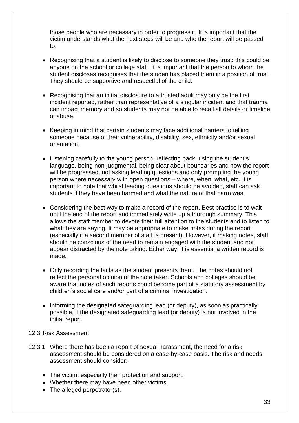those people who are necessary in order to progress it. It is important that the victim understands what the next steps will be and who the report will be passed to.

- Recognising that a student is likely to disclose to someone they trust: this could be anyone on the school or college staff. It is important that the person to whom the student discloses recognises that the studenthas placed them in a position of trust. They should be supportive and respectful of the child.
- Recognising that an initial disclosure to a trusted adult may only be the first incident reported, rather than representative of a singular incident and that trauma can impact memory and so students may not be able to recall all details or timeline of abuse.
- Keeping in mind that certain students may face additional barriers to telling someone because of their vulnerability, disability, sex, ethnicity and/or sexual orientation.
- Listening carefully to the young person, reflecting back, using the student's language, being non-judgmental, being clear about boundaries and how the report will be progressed, not asking leading questions and only prompting the young person where necessary with open questions – where, when, what, etc. It is important to note that whilst leading questions should be avoided, staff can ask students if they have been harmed and what the nature of that harm was.
- Considering the best way to make a record of the report. Best practice is to wait until the end of the report and immediately write up a thorough summary. This allows the staff member to devote their full attention to the students and to listen to what they are saying. It may be appropriate to make notes during the report (especially if a second member of staff is present). However, if making notes, staff should be conscious of the need to remain engaged with the student and not appear distracted by the note taking. Either way, it is essential a written record is made.
- Only recording the facts as the student presents them. The notes should not reflect the personal opinion of the note taker. Schools and colleges should be aware that notes of such reports could become part of a statutory assessment by children's social care and/or part of a criminal investigation.
- Informing the designated safeguarding lead (or deputy), as soon as practically possible, if the designated safeguarding lead (or deputy) is not involved in the initial report.

#### 12.3 Risk Assessment

- 12.3.1 Where there has been a report of sexual harassment, the need for a risk assessment should be considered on a case-by-case basis. The risk and needs assessment should consider:
	- The victim, especially their protection and support.
	- Whether there may have been other victims.
	- The alleged perpetrator(s).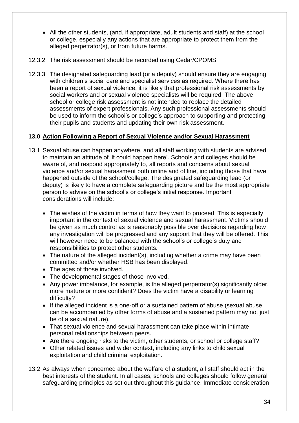- All the other students, (and, if appropriate, adult students and staff) at the school or college, especially any actions that are appropriate to protect them from the alleged perpetrator(s), or from future harms.
- 12.3.2 The risk assessment should be recorded using Cedar/CPOMS.
- 12.3.3 The designated safeguarding lead (or a deputy) should ensure they are engaging with children's social care and specialist services as required. Where there has been a report of sexual violence, it is likely that professional risk assessments by social workers and or sexual violence specialists will be required. The above school or college risk assessment is not intended to replace the detailed assessments of expert professionals. Any such professional assessments should be used to inform the school's or college's approach to supporting and protecting their pupils and students and updating their own risk assessment.

# **13.0 Action Following a Report of Sexual Violence and/or Sexual Harassment**

- 13.1 Sexual abuse can happen anywhere, and all staff working with students are advised to maintain an attitude of 'it could happen here'. Schools and colleges should be aware of, and respond appropriately to, all reports and concerns about sexual violence and/or sexual harassment both online and offline, including those that have happened outside of the school/college. The designated safeguarding lead (or deputy) is likely to have a complete safeguarding picture and be the most appropriate person to advise on the school's or college's initial response. Important considerations will include:
	- The wishes of the victim in terms of how they want to proceed. This is especially important in the context of sexual violence and sexual harassment. Victims should be given as much control as is reasonably possible over decisions regarding how any investigation will be progressed and any support that they will be offered. This will however need to be balanced with the school's or college's duty and responsibilities to protect other students.
	- The nature of the alleged incident(s), including whether a crime may have been committed and/or whether HSB has been displayed.
	- The ages of those involved.
	- The developmental stages of those involved.
	- Any power imbalance, for example, is the alleged perpetrator(s) significantly older, more mature or more confident? Does the victim have a disability or learning difficulty?
	- If the alleged incident is a one-off or a sustained pattern of abuse (sexual abuse can be accompanied by other forms of abuse and a sustained pattern may not just be of a sexual nature).
	- That sexual violence and sexual harassment can take place within intimate personal relationships between peers.
	- Are there ongoing risks to the victim, other students, or school or college staff?
	- Other related issues and wider context, including any links to child sexual exploitation and child criminal exploitation.
- 13.2 As always when concerned about the welfare of a student, all staff should act in the best interests of the student. In all cases, schools and colleges should follow general safeguarding principles as set out throughout this guidance. Immediate consideration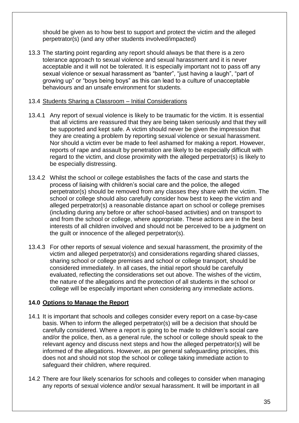should be given as to how best to support and protect the victim and the alleged perpetrator(s) (and any other students involved/impacted)

13.3 The starting point regarding any report should always be that there is a zero tolerance approach to sexual violence and sexual harassment and it is never acceptable and it will not be tolerated. It is especially important not to pass off any sexual violence or sexual harassment as "banter", "just having a laugh", "part of growing up" or "boys being boys" as this can lead to a culture of unacceptable behaviours and an unsafe environment for students.

#### 13.4 Students Sharing a Classroom – Initial Considerations

- 13.4.1 Any report of sexual violence is likely to be traumatic for the victim. It is essential that all victims are reassured that they are being taken seriously and that they will be supported and kept safe. A victim should never be given the impression that they are creating a problem by reporting sexual violence or sexual harassment. Nor should a victim ever be made to feel ashamed for making a report. However, reports of rape and assault by penetration are likely to be especially difficult with regard to the victim, and close proximity with the alleged perpetrator(s) is likely to be especially distressing.
- 13.4.2 Whilst the school or college establishes the facts of the case and starts the process of liaising with children's social care and the police, the alleged perpetrator(s) should be removed from any classes they share with the victim. The school or college should also carefully consider how best to keep the victim and alleged perpetrator(s) a reasonable distance apart on school or college premises (including during any before or after school-based activities) and on transport to and from the school or college, where appropriate. These actions are in the best interests of all children involved and should not be perceived to be a judgment on the guilt or innocence of the alleged perpetrator(s).
- 13.4.3 For other reports of sexual violence and sexual harassment, the proximity of the victim and alleged perpetrator(s) and considerations regarding shared classes, sharing school or college premises and school or college transport, should be considered immediately. In all cases, the initial report should be carefully evaluated, reflecting the considerations set out above. The wishes of the victim, the nature of the allegations and the protection of all students in the school or college will be especially important when considering any immediate actions.

#### **14.0 Options to Manage the Report**

- 14.1 It is important that schools and colleges consider every report on a case-by-case basis. When to inform the alleged perpetrator(s) will be a decision that should be carefully considered. Where a report is going to be made to children's social care and/or the police, then, as a general rule, the school or college should speak to the relevant agency and discuss next steps and how the alleged perpetrator(s) will be informed of the allegations. However, as per general safeguarding principles, this does not and should not stop the school or college taking immediate action to safeguard their children, where required.
- 14.2 There are four likely scenarios for schools and colleges to consider when managing any reports of sexual violence and/or sexual harassment. It will be important in all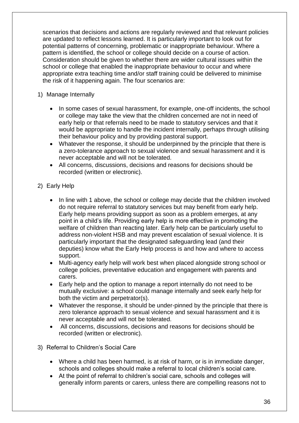scenarios that decisions and actions are regularly reviewed and that relevant policies are updated to reflect lessons learned. It is particularly important to look out for potential patterns of concerning, problematic or inappropriate behaviour. Where a pattern is identified, the school or college should decide on a course of action. Consideration should be given to whether there are wider cultural issues within the school or college that enabled the inappropriate behaviour to occur and where appropriate extra teaching time and/or staff training could be delivered to minimise the risk of it happening again. The four scenarios are:

- 1) Manage Internally
	- In some cases of sexual harassment, for example, one-off incidents, the school or college may take the view that the children concerned are not in need of early help or that referrals need to be made to statutory services and that it would be appropriate to handle the incident internally, perhaps through utilising their behaviour policy and by providing pastoral support.
	- Whatever the response, it should be underpinned by the principle that there is a zero-tolerance approach to sexual violence and sexual harassment and it is never acceptable and will not be tolerated.
	- All concerns, discussions, decisions and reasons for decisions should be recorded (written or electronic).
- 2) Early Help
	- In line with 1 above, the school or college may decide that the children involved do not require referral to statutory services but may benefit from early help. Early help means providing support as soon as a problem emerges, at any point in a child's life. Providing early help is more effective in promoting the welfare of children than reacting later. Early help can be particularly useful to address non-violent HSB and may prevent escalation of sexual violence. It is particularly important that the designated safeguarding lead (and their deputies) know what the Early Help process is and how and where to access support.
	- Multi-agency early help will work best when placed alongside strong school or college policies, preventative education and engagement with parents and carers.
	- Early help and the option to manage a report internally do not need to be mutually exclusive: a school could manage internally and seek early help for both the victim and perpetrator(s).
	- Whatever the response, it should be under-pinned by the principle that there is zero tolerance approach to sexual violence and sexual harassment and it is never acceptable and will not be tolerated.
	- All concerns, discussions, decisions and reasons for decisions should be recorded (written or electronic).
- 3) Referral to Children's Social Care
	- Where a child has been harmed, is at risk of harm, or is in immediate danger, schools and colleges should make a referral to local children's social care.
	- At the point of referral to children's social care, schools and colleges will generally inform parents or carers, unless there are compelling reasons not to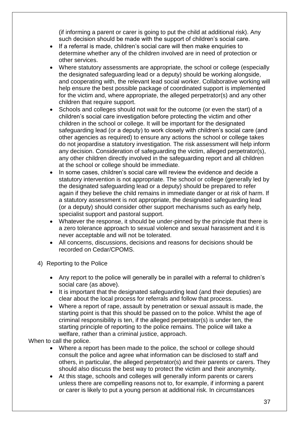(if informing a parent or carer is going to put the child at additional risk). Any such decision should be made with the support of children's social care.

- If a referral is made, children's social care will then make enquiries to determine whether any of the children involved are in need of protection or other services.
- Where statutory assessments are appropriate, the school or college (especially the designated safeguarding lead or a deputy) should be working alongside, and cooperating with, the relevant lead social worker. Collaborative working will help ensure the best possible package of coordinated support is implemented for the victim and, where appropriate, the alleged perpetrator(s) and any other children that require support.
- Schools and colleges should not wait for the outcome (or even the start) of a children's social care investigation before protecting the victim and other children in the school or college. It will be important for the designated safeguarding lead (or a deputy) to work closely with children's social care (and other agencies as required) to ensure any actions the school or college takes do not jeopardise a statutory investigation. The risk assessment will help inform any decision. Consideration of safeguarding the victim, alleged perpetrator(s), any other children directly involved in the safeguarding report and all children at the school or college should be immediate.
- In some cases, children's social care will review the evidence and decide a statutory intervention is not appropriate. The school or college (generally led by the designated safeguarding lead or a deputy) should be prepared to refer again if they believe the child remains in immediate danger or at risk of harm. If a statutory assessment is not appropriate, the designated safeguarding lead (or a deputy) should consider other support mechanisms such as early help, specialist support and pastoral support.
- Whatever the response, it should be under-pinned by the principle that there is a zero tolerance approach to sexual violence and sexual harassment and it is never acceptable and will not be tolerated.
- All concerns, discussions, decisions and reasons for decisions should be recorded on Cedar/CPOMS.
- 4) Reporting to the Police
	- Any report to the police will generally be in parallel with a referral to children's social care (as above).
	- It is important that the designated safeguarding lead (and their deputies) are clear about the local process for referrals and follow that process.
	- Where a report of rape, assault by penetration or sexual assault is made, the starting point is that this should be passed on to the police. Whilst the age of criminal responsibility is ten, if the alleged perpetrator(s) is under ten, the starting principle of reporting to the police remains. The police will take a welfare, rather than a criminal justice, approach.

When to call the police.

- Where a report has been made to the police, the school or college should consult the police and agree what information can be disclosed to staff and others, in particular, the alleged perpetrator(s) and their parents or carers. They should also discuss the best way to protect the victim and their anonymity.
- At this stage, schools and colleges will generally inform parents or carers unless there are compelling reasons not to, for example, if informing a parent or carer is likely to put a young person at additional risk. In circumstances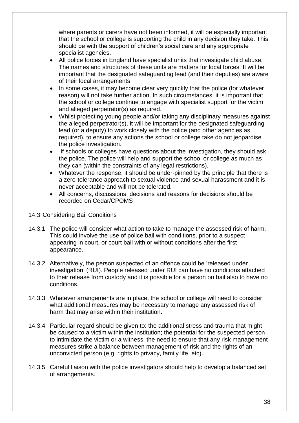where parents or carers have not been informed, it will be especially important that the school or college is supporting the child in any decision they take. This should be with the support of children's social care and any appropriate specialist agencies.

- All police forces in England have specialist units that investigate child abuse. The names and structures of these units are matters for local forces. It will be important that the designated safeguarding lead (and their deputies) are aware of their local arrangements.
- In some cases, it may become clear very quickly that the police (for whatever reason) will not take further action. In such circumstances, it is important that the school or college continue to engage with specialist support for the victim and alleged perpetrator(s) as required.
- Whilst protecting young people and/or taking any disciplinary measures against the alleged perpetrator(s), it will be important for the designated safeguarding lead (or a deputy) to work closely with the police (and other agencies as required), to ensure any actions the school or college take do not jeopardise the police investigation.
- If schools or colleges have questions about the investigation, they should ask the police. The police will help and support the school or college as much as they can (within the constraints of any legal restrictions).
- Whatever the response, it should be under-pinned by the principle that there is a zero-tolerance approach to sexual violence and sexual harassment and it is never acceptable and will not be tolerated.
- All concerns, discussions, decisions and reasons for decisions should be recorded on Cedar/CPOMS
- 14.3 Considering Bail Conditions
- 14.3.1 The police will consider what action to take to manage the assessed risk of harm. This could involve the use of police bail with conditions, prior to a suspect appearing in court, or court bail with or without conditions after the first appearance.
- 14.3.2 Alternatively, the person suspected of an offence could be 'released under investigation' (RUI). People released under RUI can have no conditions attached to their release from custody and it is possible for a person on bail also to have no conditions.
- 14.3.3 Whatever arrangements are in place, the school or college will need to consider what additional measures may be necessary to manage any assessed risk of harm that may arise within their institution.
- 14.3.4 Particular regard should be given to: the additional stress and trauma that might be caused to a victim within the institution; the potential for the suspected person to intimidate the victim or a witness; the need to ensure that any risk management measures strike a balance between management of risk and the rights of an unconvicted person (e.g. rights to privacy, family life, etc).
- 14.3.5 Careful liaison with the police investigators should help to develop a balanced set of arrangements.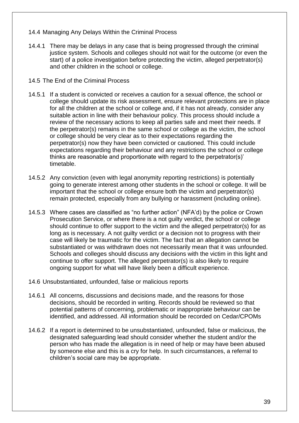- 14.4 Managing Any Delays Within the Criminal Process
- 14.4.1 There may be delays in any case that is being progressed through the criminal justice system. Schools and colleges should not wait for the outcome (or even the start) of a police investigation before protecting the victim, alleged perpetrator(s) and other children in the school or college.

### 14.5 The End of the Criminal Process

- 14.5.1 If a student is convicted or receives a caution for a sexual offence, the school or college should update its risk assessment, ensure relevant protections are in place for all the children at the school or college and, if it has not already, consider any suitable action in line with their behaviour policy. This process should include a review of the necessary actions to keep all parties safe and meet their needs. If the perpetrator(s) remains in the same school or college as the victim, the school or college should be very clear as to their expectations regarding the perpetrator(s) now they have been convicted or cautioned. This could include expectations regarding their behaviour and any restrictions the school or college thinks are reasonable and proportionate with regard to the perpetrator(s)' timetable.
- 14.5.2 Any conviction (even with legal anonymity reporting restrictions) is potentially going to generate interest among other students in the school or college. It will be important that the school or college ensure both the victim and perpetrator(s) remain protected, especially from any bullying or harassment (including online).
- 14.5.3 Where cases are classified as "no further action" (NFA'd) by the police or Crown Prosecution Service, or where there is a not guilty verdict, the school or college should continue to offer support to the victim and the alleged perpetrator(s) for as long as is necessary. A not guilty verdict or a decision not to progress with their case will likely be traumatic for the victim. The fact that an allegation cannot be substantiated or was withdrawn does not necessarily mean that it was unfounded. Schools and colleges should discuss any decisions with the victim in this light and continue to offer support. The alleged perpetrator(s) is also likely to require ongoing support for what will have likely been a difficult experience.
- 14.6 Unsubstantiated, unfounded, false or malicious reports
- 14.6.1 All concerns, discussions and decisions made, and the reasons for those decisions, should be recorded in writing. Records should be reviewed so that potential patterns of concerning, problematic or inappropriate behaviour can be identified, and addressed. All information should be recorded on Cedar/CPOMs
- 14.6.2 If a report is determined to be unsubstantiated, unfounded, false or malicious, the designated safeguarding lead should consider whether the student and/or the person who has made the allegation is in need of help or may have been abused by someone else and this is a cry for help. In such circumstances, a referral to children's social care may be appropriate.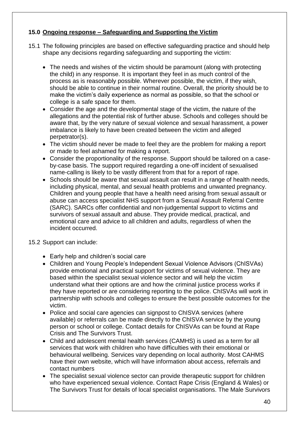## **15.0 Ongoing response – Safeguarding and Supporting the Victim**

- 15.1 The following principles are based on effective safeguarding practice and should help shape any decisions regarding safeguarding and supporting the victim:
	- The needs and wishes of the victim should be paramount (along with protecting the child) in any response. It is important they feel in as much control of the process as is reasonably possible. Wherever possible, the victim, if they wish, should be able to continue in their normal routine. Overall, the priority should be to make the victim's daily experience as normal as possible, so that the school or college is a safe space for them.
	- Consider the age and the developmental stage of the victim, the nature of the allegations and the potential risk of further abuse. Schools and colleges should be aware that, by the very nature of sexual violence and sexual harassment, a power imbalance is likely to have been created between the victim and alleged perpetrator(s).
	- The victim should never be made to feel they are the problem for making a report or made to feel ashamed for making a report.
	- Consider the proportionality of the response. Support should be tailored on a caseby-case basis. The support required regarding a one-off incident of sexualised name-calling is likely to be vastly different from that for a report of rape.
	- Schools should be aware that sexual assault can result in a range of health needs, including physical, mental, and sexual health problems and unwanted pregnancy. Children and young people that have a health need arising from sexual assault or abuse can access specialist NHS support from a Sexual Assault Referral Centre (SARC). SARCs offer confidential and non-judgemental support to victims and survivors of sexual assault and abuse. They provide medical, practical, and emotional care and advice to all children and adults, regardless of when the incident occurred.

### 15.2 Support can include:

- Early help and children's social care
- Children and Young People's Independent Sexual Violence Advisors (ChISVAs) provide emotional and practical support for victims of sexual violence. They are based within the specialist sexual violence sector and will help the victim understand what their options are and how the criminal justice process works if they have reported or are considering reporting to the police. ChISVAs will work in partnership with schools and colleges to ensure the best possible outcomes for the victim.
- Police and social care agencies can signpost to ChISVA services (where available) or referrals can be made directly to the ChISVA service by the young person or school or college. Contact details for ChISVAs can be found at Rape Crisis and The Survivors Trust.
- Child and adolescent mental health services (CAMHS) is used as a term for all services that work with children who have difficulties with their emotional or behavioural wellbeing. Services vary depending on local authority. Most CAHMS have their own website, which will have information about access, referrals and contact numbers
- The specialist sexual violence sector can provide therapeutic support for children who have experienced sexual violence. Contact Rape Crisis (England & Wales) or The Survivors Trust for details of local specialist organisations. The Male Survivors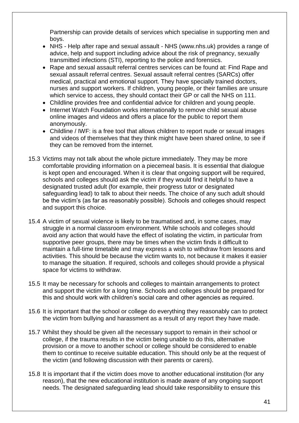Partnership can provide details of services which specialise in supporting men and boys.

- NHS Help after rape and sexual assault NHS (www.nhs.uk) provides a range of advice, help and support including advice about the risk of pregnancy, sexually transmitted infections (STI), reporting to the police and forensics.
- Rape and sexual assault referral centres services can be found at: Find Rape and sexual assault referral centres. Sexual assault referral centres (SARCs) offer medical, practical and emotional support. They have specially trained doctors, nurses and support workers. If children, young people, or their families are unsure which service to access, they should contact their GP or call the NHS on 111.
- Childline provides free and confidential advice for children and young people.
- Internet Watch Foundation works internationally to remove child sexual abuse online images and videos and offers a place for the public to report them anonymously.
- Childline / IWF: is a free tool that allows children to report nude or sexual images and videos of themselves that they think might have been shared online, to see if they can be removed from the internet.
- 15.3 Victims may not talk about the whole picture immediately. They may be more comfortable providing information on a piecemeal basis. It is essential that dialogue is kept open and encouraged. When it is clear that ongoing support will be required, schools and colleges should ask the victim if they would find it helpful to have a designated trusted adult (for example, their progress tutor or designated safeguarding lead) to talk to about their needs. The choice of any such adult should be the victim's (as far as reasonably possible). Schools and colleges should respect and support this choice.
- 15.4 A victim of sexual violence is likely to be traumatised and, in some cases, may struggle in a normal classroom environment. While schools and colleges should avoid any action that would have the effect of isolating the victim, in particular from supportive peer groups, there may be times when the victim finds it difficult to maintain a full-time timetable and may express a wish to withdraw from lessons and activities. This should be because the victim wants to, not because it makes it easier to manage the situation. If required, schools and colleges should provide a physical space for victims to withdraw.
- 15.5 It may be necessary for schools and colleges to maintain arrangements to protect and support the victim for a long time. Schools and colleges should be prepared for this and should work with children's social care and other agencies as required.
- 15.6 It is important that the school or college do everything they reasonably can to protect the victim from bullying and harassment as a result of any report they have made.
- 15.7 Whilst they should be given all the necessary support to remain in their school or college, if the trauma results in the victim being unable to do this, alternative provision or a move to another school or college should be considered to enable them to continue to receive suitable education. This should only be at the request of the victim (and following discussion with their parents or carers).
- 15.8 It is important that if the victim does move to another educational institution (for any reason), that the new educational institution is made aware of any ongoing support needs. The designated safeguarding lead should take responsibility to ensure this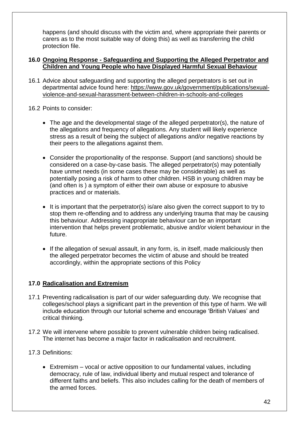happens (and should discuss with the victim and, where appropriate their parents or carers as to the most suitable way of doing this) as well as transferring the child protection file.

### **16.0 Ongoing Response - Safeguarding and Supporting the Alleged Perpetrator and Children and Young People who have Displayed Harmful Sexual Behaviour**

- 16.1 Advice about safeguarding and supporting the alleged perpetrators is set out in departmental advice found here: [https://www.gov.uk/government/publications/sexual](https://www.gov.uk/government/publications/sexual-violence-and-sexual-harassment-between-children-in-schools-and-colleges)[violence-and-sexual-harassment-between-children-in-schools-and-colleges](https://www.gov.uk/government/publications/sexual-violence-and-sexual-harassment-between-children-in-schools-and-colleges)
- 16.2 Points to consider:
	- The age and the developmental stage of the alleged perpetrator(s), the nature of the allegations and frequency of allegations. Any student will likely experience stress as a result of being the subject of allegations and/or negative reactions by their peers to the allegations against them.
	- Consider the proportionality of the response. Support (and sanctions) should be considered on a case-by-case basis. The alleged perpetrator(s) may potentially have unmet needs (in some cases these may be considerable) as well as potentially posing a risk of harm to other children. HSB in young children may be (and often is ) a symptom of either their own abuse or exposure to abusive practices and or materials.
	- It is important that the perpetrator(s) is/are also given the correct support to try to stop them re-offending and to address any underlying trauma that may be causing this behaviour. Addressing inappropriate behaviour can be an important intervention that helps prevent problematic, abusive and/or violent behaviour in the future.
	- If the allegation of sexual assault, in any form, is, in itself, made maliciously then the alleged perpetrator becomes the victim of abuse and should be treated accordingly, within the appropriate sections of this Policy

### **17.0 Radicalisation and Extremism**

- 17.1 Preventing radicalisation is part of our wider safeguarding duty. We recognise that colleges/school plays a significant part in the prevention of this type of harm. We will include education through our tutorial scheme and encourage 'British Values' and critical thinking.
- 17.2 We will intervene where possible to prevent vulnerable children being radicalised. The internet has become a major factor in radicalisation and recruitment.
- 17.3 Definitions:
	- Extremism vocal or active opposition to our fundamental values, including democracy, rule of law, individual liberty and mutual respect and tolerance of different faiths and beliefs. This also includes calling for the death of members of the armed forces.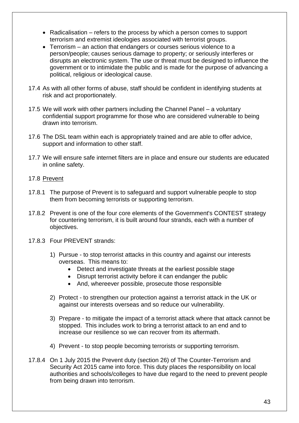- Radicalisation refers to the process by which a person comes to support terrorism and extremist ideologies associated with terrorist groups.
- Terrorism an action that endangers or courses serious violence to a person/people; causes serious damage to property; or seriously interferes or disrupts an electronic system. The use or threat must be designed to influence the government or to intimidate the public and is made for the purpose of advancing a political, religious or ideological cause.
- 17.4 As with all other forms of abuse, staff should be confident in identifying students at risk and act proportionately.
- 17.5 We will work with other partners including the Channel Panel a voluntary confidential support programme for those who are considered vulnerable to being drawn into terrorism.
- 17.6 The DSL team within each is appropriately trained and are able to offer advice, support and information to other staff.
- 17.7 We will ensure safe internet filters are in place and ensure our students are educated in online safety.

#### 17.8 Prevent

- 17.8.1 The purpose of Prevent is to safeguard and support vulnerable people to stop them from becoming terrorists or supporting terrorism.
- 17.8.2 Prevent is one of the four core elements of the Government's CONTEST strategy for countering terrorism, it is built around four strands, each with a number of objectives.
- 17.8.3 Four PREVENT strands:
	- 1) Pursue to stop terrorist attacks in this country and against our interests overseas. This means to:
		- Detect and investigate threats at the earliest possible stage
		- Disrupt terrorist activity before it can endanger the public
		- And, whereever possible, prosecute those responsible
	- 2) Protect to strengthen our protection against a terrorist attack in the UK or against our interests overseas and so reduce our vulnerability.
	- 3) Prepare to mitigate the impact of a terrorist attack where that attack cannot be stopped. This includes work to bring a terrorist attack to an end and to increase our resilience so we can recover from its aftermath.
	- 4) Prevent to stop people becoming terrorists or supporting terrorism.
- 17.8.4 On 1 July 2015 the Prevent duty (section 26) of The Counter-Terrorism and Security Act 2015 came into force. This duty places the responsibility on local authorities and schools/colleges to have due regard to the need to prevent people from being drawn into terrorism.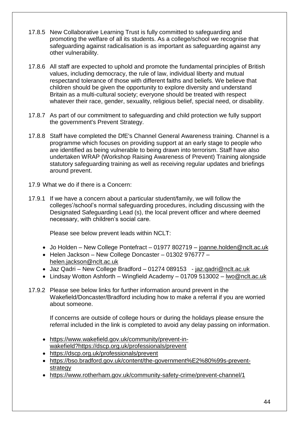- 17.8.5 New Collaborative Learning Trust is fully committed to safeguarding and promoting the welfare of all its students. As a college/school we recognise that safeguarding against radicalisation is as important as safeguarding against any other vulnerability.
- 17.8.6 All staff are expected to uphold and promote the fundamental principles of British values, including democracy, the rule of law, individual liberty and mutual respectand tolerance of those with different faiths and beliefs. We believe that children should be given the opportunity to explore diversity and understand Britain as a multi-cultural society; everyone should be treated with respect whatever their race, gender, sexuality, religious belief, special need, or disability.
- 17.8.7 As part of our commitment to safeguarding and child protection we fully support the government's Prevent Strategy.
- 17.8.8 Staff have completed the DfE's Channel General Awareness training. Channel is a programme which focuses on providing support at an early stage to people who are identified as being vulnerable to being drawn into terrorism. Staff have also undertaken WRAP (Workshop Raising Awareness of Prevent) Training alongside statutory safeguarding training as well as receiving regular updates and briefings around prevent.
- 17.9 What we do if there is a Concern:
- 17.9.1 If we have a concern about a particular student/family, we will follow the colleges'/school's normal safeguarding procedures, including discussing with the Designated Safeguarding Lead (s), the local prevent officer and where deemed necessary, with children's social care.

Please see below prevent leads within NCLT:

- Jo Holden New College Pontefract 01977 802719 [joanne.holden@nclt.ac.uk](mailto:joanne.holden@nclt.ac.uk)
- Helen Jackson New College Doncaster 01302 976777 [helen.jackson@nclt.ac.uk](mailto:helen.jackson@nclt.ac.uk)
- Jaz Qadri New College Bradford 01274 089153 [jaz.qadri@nclt.ac.uk](mailto:jaz.qadri@nclt.ac.uk)
- Lindsay Wotton Ashforth Wingfield Academy 01709 513002 [lwo@nclt.ac.uk](mailto:lwo@nclt.ac.uk)
- 17.9.2 Please see below links for further information around prevent in the Wakefield/Doncaster/Bradford including how to make a referral if you are worried about someone.

If concerns are outside of college hours or during the holidays please ensure the referral included in the link is completed to avoid any delay passing on information.

- [https://www.wakefield.gov.uk/community/prevent-in](https://www.wakefield.gov.uk/community/prevent-in-wakefield?https://dscp.org.uk/professionals/prevent)[wakefield?https://dscp.org.uk/professionals/prevent](https://www.wakefield.gov.uk/community/prevent-in-wakefield?https://dscp.org.uk/professionals/prevent)
- <https://dscp.org.uk/professionals/prevent>
- [https://bso.bradford.gov.uk/content/the-government%E2%80%99s-prevent](https://bso.bradford.gov.uk/content/the-government%E2%80%99s-prevent-strategy)strategy
- <https://www.rotherham.gov.uk/community-safety-crime/prevent-channel/1>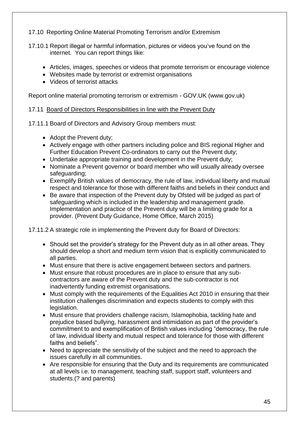17.10 Reporting Online Material Promoting Terrorism and/or Extremism

- 17.10.1 Report illegal or harmful information, pictures or videos you've found on the internet. You can report things like:
	- Articles, images, speeches or videos that promote terrorism or encourage violence
	- Websites made by terrorist or extremist organisations
	- Videos of terrorist attacks

Report online material promoting terrorism or extremism - GOV.UK (www.gov.uk)

17.11 Board of Directors Responsibilities in line with the Prevent Duty

17.11.1 Board of Directors and Advisory Group members must:

- Adopt the Prevent duty;
- Actively engage with other partners including police and BIS regional Higher and Further Education Prevent Co-ordinators to carry out the Prevent duty;
- Undertake appropriate training and development in the Prevent duty;
- Nominate a Prevent governor or board member who will usually already oversee safeguarding;
- Exemplify British values of democracy, the rule of law, individual liberty and mutual respect and tolerance for those with different faiths and beliefs in their conduct and
- Be aware that inspection of the Prevent duty by Ofsted will be judged as part of safeguarding which is included in the leadership and management grade. Implementation and practice of the Prevent duty will be a limiting grade for a provider. (Prevent Duty Guidance, Home Office, March 2015)

17.11.2 A strategic role in implementing the Prevent duty for Board of Directors:

- Should set the provider's strategy for the Prevent duty as in all other areas. They should develop a short and medium term vision that is explicitly communicated to all parties.
- Must ensure that there is active engagement between sectors and partners.
- Must ensure that robust procedures are in place to ensure that any subcontractors are aware of the Prevent duty and the sub-contractor is not inadvertently funding extremist organisations.
- Must comply with the requirements of the Equalities Act 2010 in ensuring that their institution challenges discrimination and expects students to comply with this legislation.
- Must ensure that providers challenge racism, Islamophobia, tackling hate and prejudice based bullying, harassment and intimidation as part of the provider's commitment to and exemplification of British values including "democracy, the rule of law, individual liberty and mutual respect and tolerance for those with different faiths and beliefs".
- Need to appreciate the sensitivity of the subject and the need to approach the issues carefully in all communities.
- Are responsible for ensuring that the Duty and its requirements are communicated at all levels i.e. to management, teaching staff, support staff, volunteers and students.(? and parents)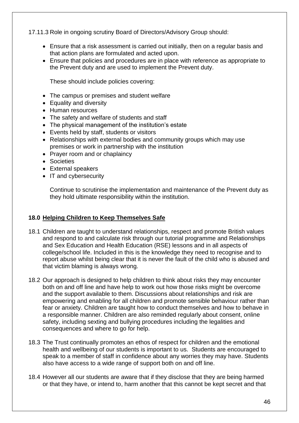17.11.3 Role in ongoing scrutiny Board of Directors/Advisory Group should:

- Ensure that a risk assessment is carried out initially, then on a regular basis and that action plans are formulated and acted upon.
- Ensure that policies and procedures are in place with reference as appropriate to the Prevent duty and are used to implement the Prevent duty.

These should include policies covering:

- The campus or premises and student welfare
- Equality and diversity
- Human resources
- The safety and welfare of students and staff
- The physical management of the institution's estate
- Events held by staff, students or visitors
- Relationships with external bodies and community groups which may use premises or work in partnership with the institution
- Prayer room and or chaplaincy
- Societies
- External speakers
- IT and cybersecurity

Continue to scrutinise the implementation and maintenance of the Prevent duty as they hold ultimate responsibility within the institution.

### **18.0 Helping Children to Keep Themselves Safe**

- 18.1 Children are taught to understand relationships, respect and promote British values and respond to and calculate risk through our tutorial programme and Relationships and Sex Education and Health Education (RSE) lessons and in all aspects of college/school life. Included in this is the knowledge they need to recognise and to report abuse whilst being clear that it is never the fault of the child who is abused and that victim blaming is always wrong.
- 18.2 Our approach is designed to help children to think about risks they may encounter both on and off line and have help to work out how those risks might be overcome and the support available to them. Discussions about relationships and risk are empowering and enabling for all children and promote sensible behaviour rather than fear or anxiety. Children are taught how to conduct themselves and how to behave in a responsible manner. Children are also reminded regularly about consent, online safety, including sexting and bullying procedures including the legalities and consequences and where to go for help.
- 18.3 The Trust continually promotes an ethos of respect for children and the emotional health and wellbeing of our students is important to us. Students are encouraged to speak to a member of staff in confidence about any worries they may have. Students also have access to a wide range of support both on and off line.
- 18.4 However all our students are aware that if they disclose that they are being harmed or that they have, or intend to, harm another that this cannot be kept secret and that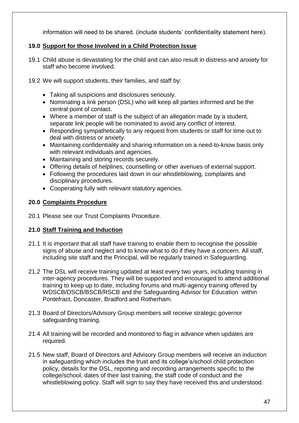information will need to be shared. (include students' confidentiality statement here).

## **19.0 Support for those Involved in a Child Protection Issue**

- 19.1 Child abuse is devastating for the child and can also result in distress and anxiety for staff who become involved.
- 19.2 We will support students, their families, and staff by:
	- Taking all suspicions and disclosures seriously.
	- Nominating a link person (DSL) who will keep all parties informed and be the central point of contact.
	- Where a member of staff is the subject of an allegation made by a student, separate link people will be nominated to avoid any conflict of interest.
	- Responding sympathetically to any request from students or staff for time out to deal with distress or anxiety.
	- Maintaining confidentiality and sharing information on a need-to-know basis only with relevant individuals and agencies.
	- Maintaining and storing records securely.
	- Offering details of helplines, counselling or other avenues of external support.
	- Following the procedures laid down in our whistleblowing, complaints and disciplinary procedures.
	- Cooperating fully with relevant statutory agencies.

#### **20.0 Complaints Procedure**

20.1 Please see our Trust Complaints Procedure.

### **21.0 Staff Training and Induction**

- 21.1 It is important that all staff have training to enable them to recognise the possible signs of abuse and neglect and to know what to do if they have a concern. All staff, including site staff and the Principal, will be regularly trained in Safeguarding.
- 21.2 The DSL will receive training updated at least every two years, including training in inter-agency procedures. They will be supported and encouraged to attend additional training to keep up to date, including forums and multi-agency training offered by WDSCB/DSCB/BSCB/RSCB and the Safeguarding Advisor for Education within Pontefract, Doncaster, Bradford and Rotherham.
- 21.3 Board of Directors/Advisory Group members will receive strategic governor safeguarding training.
- 21.4 All training will be recorded and monitored to flag in advance when updates are required.
- 21.5 New staff, Board of Directors and Advisory Group members will receive an induction in safeguarding which includes the trust and its college's/school child protection policy, details for the DSL, reporting and recording arrangements specific to the college/school, dates of their last training, the staff code of conduct and the whistleblowing policy. Staff will sign to say they have received this and understood.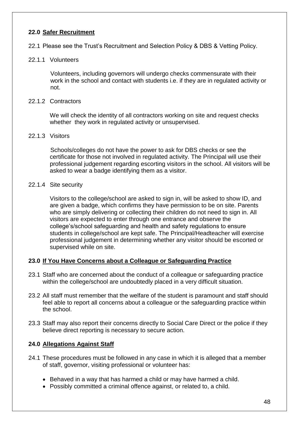#### **22.0 Safer Recruitment**

22.1 Please see the Trust's Recruitment and Selection Policy & DBS & Vetting Policy.

22.1.1 Volunteers

Volunteers, including governors will undergo checks commensurate with their work in the school and contact with students i.e. if they are in regulated activity or not.

#### 22.1.2 Contractors

We will check the identity of all contractors working on site and request checks whether they work in regulated activity or unsupervised.

#### 22.1.3 Visitors

Schools/colleges do not have the power to ask for DBS checks or see the certificate for those not involved in regulated activity. The Principal will use their professional judgement regarding escorting visitors in the school. All visitors will be asked to wear a badge identifying them as a visitor.

#### 22.1.4 Site security

Visitors to the college/school are asked to sign in, will be asked to show ID, and are given a badge, which confirms they have permission to be on site. Parents who are simply delivering or collecting their children do not need to sign in. All visitors are expected to enter through one entrance and observe the college's/school safeguarding and health and safety regulations to ensure students in college/school are kept safe. The Principal/Headteacher will exercise professional judgement in determining whether any visitor should be escorted or supervised while on site.

#### **23.0 If You Have Concerns about a Colleague or Safeguarding Practice**

- 23.1 Staff who are concerned about the conduct of a colleague or safeguarding practice within the college/school are undoubtedly placed in a very difficult situation.
- 23.2 All staff must remember that the welfare of the student is paramount and staff should feel able to report all concerns about a colleague or the safeguarding practice within the school.
- 23.3 Staff may also report their concerns directly to Social Care Direct or the police if they believe direct reporting is necessary to secure action.

#### **24.0 Allegations Against Staff**

- 24.1 These procedures must be followed in any case in which it is alleged that a member of staff, governor, visiting professional or volunteer has:
	- Behaved in a way that has harmed a child or may have harmed a child.
	- Possibly committed a criminal offence against, or related to, a child.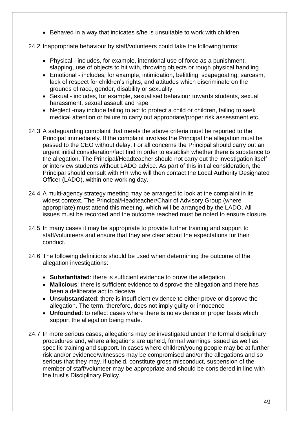- Behaved in a way that indicates s/he is unsuitable to work with children.
- 24.2 Inappropriate behaviour by staff/volunteers could take the following forms:
	- Physical includes, for example, intentional use of force as a punishment, slapping, use of objects to hit with, throwing objects or rough physical handling
	- Emotional includes, for example, intimidation, belittling, scapegoating, sarcasm, lack of respect for children's rights, and attitudes which discriminate on the grounds of race, gender, disability or sexuality
	- Sexual includes, for example, sexualised behaviour towards students, sexual harassment, sexual assault and rape
	- Neglect -may include failing to act to protect a child or children, failing to seek medical attention or failure to carry out appropriate/proper risk assessment etc.
- 24.3 A safeguarding complaint that meets the above criteria must be reported to the Principal immediately. If the complaint involves the Principal the allegation must be passed to the CEO without delay. For all concerns the Principal should carry out an urgent initial consideration/fact find in order to establish whether there is substance to the allegation. The Principal/Headteacher should not carry out the investigation itself or interview students without LADO advice. As part of this initial consideration, the Principal should consult with HR who will then contact the Local Authority Designated Officer (LADO), within one working day.
- 24.4 A multi-agency strategy meeting may be arranged to look at the complaint in its widest context. The Principal/Headteacher/Chair of Advisory Group (where appropriate) must attend this meeting, which will be arranged by the LADO. All issues must be recorded and the outcome reached must be noted to ensure closure.
- 24.5 In many cases it may be appropriate to provide further training and support to staff/volunteers and ensure that they are clear about the expectations for their conduct.
- 24.6 The following definitions should be used when determining the outcome of the allegation investigations:
	- **Substantiated**: there is sufficient evidence to prove the allegation
	- **Malicious**: there is sufficient evidence to disprove the allegation and there has been a deliberate act to deceive
	- **Unsubstantiated**: there is insufficient evidence to either prove or disprove the allegation. The term, therefore, does not imply guilty or innocence
	- **Unfounded**: to reflect cases where there is no evidence or proper basis which support the allegation being made.
- 24.7 In more serious cases, allegations may be investigated under the formal disciplinary procedures and, where allegations are upheld, formal warnings issued as well as specific training and support. In cases where children/young people may be at further risk and/or evidence/witnesses may be compromised and/or the allegations and so serious that they may, if upheld, constitute gross misconduct, suspension of the member of staff/volunteer may be appropriate and should be considered in line with the trust's Disciplinary Policy.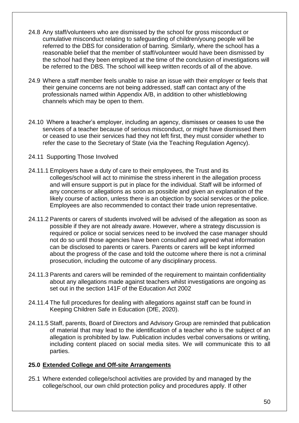- 24.8 Any staff/volunteers who are dismissed by the school for gross misconduct or cumulative misconduct relating to safeguarding of children/young people will be referred to the DBS for consideration of barring. Similarly, where the school has a reasonable belief that the member of staff/volunteer would have been dismissed by the school had they been employed at the time of the conclusion of investigations will be referred to the DBS. The school will keep written records of all of the above.
- 24.9 Where a staff member feels unable to raise an issue with their employer or feels that their genuine concerns are not being addressed, staff can contact any of the professionals named within Appendix A/B, in addition to other whistleblowing channels which may be open to them.
- 24.10 Where a teacher's employer, including an agency, dismisses or ceases to use the services of a teacher because of serious misconduct, or might have dismissed them or ceased to use their services had they not left first, they must consider whether to refer the case to the Secretary of State (via the Teaching Regulation Agency).
- 24.11 Supporting Those Involved
- 24.11.1 Employers have a duty of care to their employees, the Trust and its colleges/school will act to minimise the stress inherent in the allegation process and will ensure support is put in place for the individual. Staff will be informed of any concerns or allegations as soon as possible and given an explanation of the likely course of action, unless there is an objection by social services or the police. Employees are also recommended to contact their trade union representative.
- 24.11.2 Parents or carers of students involved will be advised of the allegation as soon as possible if they are not already aware. However, where a strategy discussion is required or police or social services need to be involved the case manager should not do so until those agencies have been consulted and agreed what information can be disclosed to parents or carers. Parents or carers will be kept informed about the progress of the case and told the outcome where there is not a criminal prosecution, including the outcome of any disciplinary process.
- 24.11.3 Parents and carers will be reminded of the requirement to maintain confidentiality about any allegations made against teachers whilst investigations are ongoing as set out in the section 141F of the Education Act 2002
- 24.11.4 The full procedures for dealing with allegations against staff can be found in Keeping Children Safe in Education (DfE, 2020).
- 24.11.5 Staff, parents, Board of Directors and Advisory Group are reminded that publication of material that may lead to the identification of a teacher who is the subject of an allegation is prohibited by law. Publication includes verbal conversations or writing, including content placed on social media sites. We will communicate this to all parties.

### **25.0 Extended College and Off-site Arrangements**

25.1 Where extended college/school activities are provided by and managed by the college/school, our own child protection policy and procedures apply. If other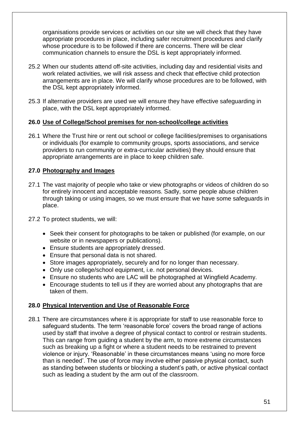organisations provide services or activities on our site we will check that they have appropriate procedures in place, including safer recruitment procedures and clarify whose procedure is to be followed if there are concerns. There will be clear communication channels to ensure the DSL is kept appropriately informed.

- 25.2 When our students attend off-site activities, including day and residential visits and work related activities, we will risk assess and check that effective child protection arrangements are in place. We will clarify whose procedures are to be followed, with the DSL kept appropriately informed.
- 25.3 If alternative providers are used we will ensure they have effective safeguarding in place, with the DSL kept appropriately informed.

## **26.0 Use of College/School premises for non-school/college activities**

26.1 Where the Trust hire or rent out school or college facilities/premises to organisations or individuals (for example to community groups, sports associations, and service providers to run community or extra-curricular activities) they should ensure that appropriate arrangements are in place to keep children safe.

## **27.0 Photography and Images**

- 27.1 The vast majority of people who take or view photographs or videos of children do so for entirely innocent and acceptable reasons. Sadly, some people abuse children through taking or using images, so we must ensure that we have some safeguards in place.
- 27.2 To protect students, we will:
	- Seek their consent for photographs to be taken or published (for example, on our website or in newspapers or publications).
	- Ensure students are appropriately dressed.
	- Ensure that personal data is not shared.
	- Store images appropriately, securely and for no longer than necessary.
	- Only use college/school equipment, i.e. not personal devices.
	- Ensure no students who are LAC will be photographed at Wingfield Academy.
	- Encourage students to tell us if they are worried about any photographs that are taken of them.

### **28.0 Physical Intervention and Use of Reasonable Force**

28.1 There are circumstances where it is appropriate for staff to use reasonable force to safeguard students. The term 'reasonable force' covers the broad range of actions used by staff that involve a degree of physical contact to control or restrain students. This can range from guiding a student by the arm, to more extreme circumstances such as breaking up a fight or where a student needs to be restrained to prevent violence or injury. 'Reasonable' in these circumstances means 'using no more force than is needed'. The use of force may involve either passive physical contact, such as standing between students or blocking a student's path, or active physical contact such as leading a student by the arm out of the classroom.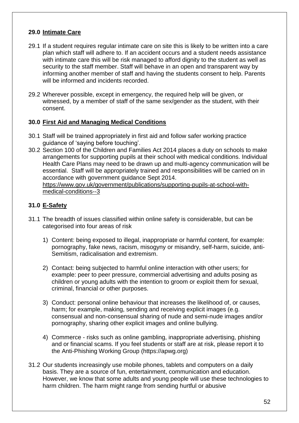#### **29.0 Intimate Care**

- 29.1 If a student requires regular intimate care on site this is likely to be written into a care plan which staff will adhere to. If an accident occurs and a student needs assistance with intimate care this will be risk managed to afford dignity to the student as well as security to the staff member. Staff will behave in an open and transparent way by informing another member of staff and having the students consent to help. Parents will be informed and incidents recorded.
- 29.2 Wherever possible, except in emergency, the required help will be given, or witnessed, by a member of staff of the same sex/gender as the student, with their consent.

#### **30.0 First Aid and Managing Medical Conditions**

- 30.1 Staff will be trained appropriately in first aid and follow safer working practice guidance of 'saying before touching'.
- 30.2 Section 100 of the Children and Families Act 2014 places a duty on schools to make arrangements for supporting pupils at their school with medical conditions. Individual Health Care Plans may need to be drawn up and multi-agency communication will be essential. Staff will be appropriately trained and responsibilities will be carried on in accordance with government guidance Sept 2014. [https://www.gov.uk/government/publications/supporting-pupils-at-school-with](https://www.gov.uk/government/publications/supporting-pupils-at-school-with-medical-conditions--3)[medical-conditions--3](https://www.gov.uk/government/publications/supporting-pupils-at-school-with-medical-conditions--3)

## **31.0 E-Safety**

- 31.1 The breadth of issues classified within online safety is considerable, but can be categorised into four areas of risk
	- 1) Content: being exposed to illegal, inappropriate or harmful content, for example: pornography, fake news, racism, misogyny or misandry, self-harm, suicide, anti-Semitism, radicalisation and extremism.
	- 2) Contact: being subjected to harmful online interaction with other users; for example: peer to peer pressure, commercial advertising and adults posing as children or young adults with the intention to groom or exploit them for sexual, criminal, financial or other purposes.
	- 3) Conduct: personal online behaviour that increases the likelihood of, or causes, harm; for example, making, sending and receiving explicit images (e.g. consensual and non-consensual sharing of nude and semi-nude images and/or pornography, sharing other explicit images and online bullying.
	- 4) Commerce risks such as online gambling, inappropriate advertising, phishing and or financial scams. If you feel students or staff are at risk, please report it to the Anti-Phishing Working Group (https://apwg.org)
- 31.2 Our students increasingly use mobile phones, tablets and computers on a daily basis. They are a source of fun, entertainment, communication and education. However, we know that some adults and young people will use these technologies to harm children. The harm might range from sending hurtful or abusive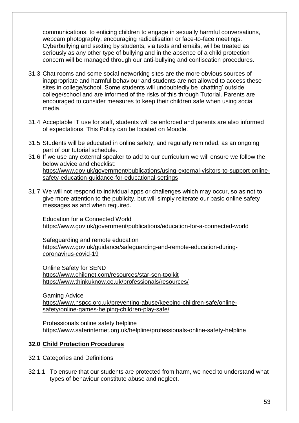communications, to enticing children to engage in sexually harmful conversations, webcam photography, encouraging radicalisation or face-to-face meetings. Cyberbullying and sexting by students, via texts and emails, will be treated as seriously as any other type of bullying and in the absence of a child protection concern will be managed through our anti-bullying and confiscation procedures.

- 31.3 Chat rooms and some social networking sites are the more obvious sources of inappropriate and harmful behaviour and students are not allowed to access these sites in college/school. Some students will undoubtedly be 'chatting' outside college/school and are informed of the risks of this through Tutorial. Parents are encouraged to consider measures to keep their children safe when using social media.
- 31.4 Acceptable IT use for staff, students will be enforced and parents are also informed of expectations. This Policy can be located on Moodle.
- 31.5 Students will be educated in online safety, and regularly reminded, as an ongoing part of our tutorial schedule.
- 31.6 If we use any external speaker to add to our curriculum we will ensure we follow the below advice and checklist: [https://www.gov.uk/government/publications/using-external-visitors-to-support-online](https://www.gov.uk/government/publications/using-external-visitors-to-support-online-safety-education-guidance-for-educational-settings)[safety-education-guidance-for-educational-settings](https://www.gov.uk/government/publications/using-external-visitors-to-support-online-safety-education-guidance-for-educational-settings)
- 31.7 We will not respond to individual apps or challenges which may occur, so as not to give more attention to the publicity, but will simply reiterate our basic online safety messages as and when required.

Education for a Connected World <https://www.gov.uk/government/publications/education-for-a-connected-world>

Safeguarding and remote education [https://www.gov.uk/guidance/safeguarding-and-remote-education-during](https://www.gov.uk/guidance/safeguarding-and-remote-education-during-coronavirus-covid-19)[coronavirus-covid-19](https://www.gov.uk/guidance/safeguarding-and-remote-education-during-coronavirus-covid-19)

Online Safety for SEND <https://www.childnet.com/resources/star-sen-toolkit> <https://www.thinkuknow.co.uk/professionals/resources/>

Gaming Advice [https://www.nspcc.org.uk/preventing-abuse/keeping-children-safe/online](https://www.nspcc.org.uk/preventing-abuse/keeping-children-safe/online-safety/online-games-helping-children-play-safe/)[safety/online-games-helping-children-play-safe/](https://www.nspcc.org.uk/preventing-abuse/keeping-children-safe/online-safety/online-games-helping-children-play-safe/)

Professionals online safety helpline <https://www.saferinternet.org.uk/helpline/professionals-online-safety-helpline>

### **32.0 Child Protection Procedures**

- 32.1 Categories and Definitions
- 32.1.1 To ensure that our students are protected from harm, we need to understand what types of behaviour constitute abuse and neglect.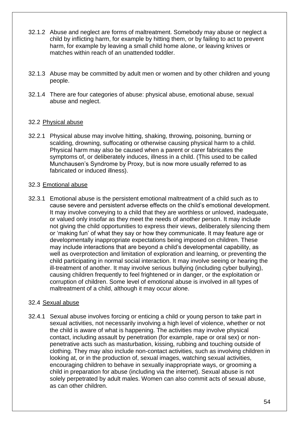- 32.1.2 Abuse and neglect are forms of maltreatment. Somebody may abuse or neglect a child by inflicting harm, for example by hitting them, or by failing to act to prevent harm, for example by leaving a small child home alone, or leaving knives or matches within reach of an unattended toddler.
- 32.1.3 Abuse may be committed by adult men or women and by other children and young people.
- 32.1.4 There are four categories of abuse: physical abuse, emotional abuse, sexual abuse and neglect.

#### 32.2 Physical abuse

32.2.1 Physical abuse may involve hitting, shaking, throwing, poisoning, burning or scalding, drowning, suffocating or otherwise causing physical harm to a child. Physical harm may also be caused when a parent or carer fabricates the symptoms of, or deliberately induces, illness in a child. (This used to be called Munchausen's Syndrome by Proxy, but is now more usually referred to as fabricated or induced illness).

#### 32.3 Emotional abuse

32.3.1 Emotional abuse is the persistent emotional maltreatment of a child such as to cause severe and persistent adverse effects on the child's emotional development. It may involve conveying to a child that they are worthless or unloved, inadequate, or valued only insofar as they meet the needs of another person. It may include not giving the child opportunities to express their views, deliberately silencing them or 'making fun' of what they say or how they communicate. It may feature age or developmentally inappropriate expectations being imposed on children. These may include interactions that are beyond a child's developmental capability, as well as overprotection and limitation of exploration and learning, or preventing the child participating in normal social interaction. It may involve seeing or hearing the ill-treatment of another. It may involve serious bullying (including cyber bullying), causing children frequently to feel frightened or in danger, or the exploitation or corruption of children. Some level of emotional abuse is involved in all types of maltreatment of a child, although it may occur alone.

### 32.4 Sexual abuse

32.4.1 Sexual abuse involves forcing or enticing a child or young person to take part in sexual activities, not necessarily involving a high level of violence, whether or not the child is aware of what is happening. The activities may involve physical contact, including assault by penetration (for example, rape or oral sex) or nonpenetrative acts such as masturbation, kissing, rubbing and touching outside of clothing. They may also include non-contact activities, such as involving children in looking at, or in the production of, sexual images, watching sexual activities, encouraging children to behave in sexually inappropriate ways, or grooming a child in preparation for abuse (including via the internet). Sexual abuse is not solely perpetrated by adult males. Women can also commit acts of sexual abuse, as can other children.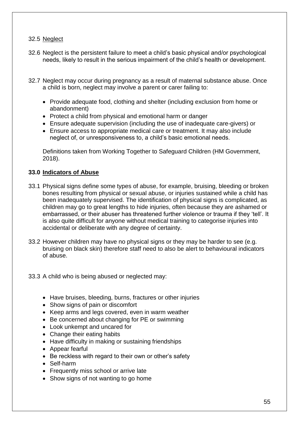#### 32.5 Neglect

- 32.6 Neglect is the persistent failure to meet a child's basic physical and/or psychological needs, likely to result in the serious impairment of the child's health or development.
- 32.7 Neglect may occur during pregnancy as a result of maternal substance abuse. Once a child is born, neglect may involve a parent or carer failing to:
	- Provide adequate food, clothing and shelter (including exclusion from home or abandonment)
	- Protect a child from physical and emotional harm or danger
	- Ensure adequate supervision (including the use of inadequate care-givers) or
	- Ensure access to appropriate medical care or treatment. It may also include neglect of, or unresponsiveness to, a child's basic emotional needs.

Definitions taken from Working Together to Safeguard Children (HM Government, 2018).

#### **33.0 Indicators of Abuse**

- 33.1 Physical signs define some types of abuse, for example, bruising, bleeding or broken bones resulting from physical or sexual abuse, or injuries sustained while a child has been inadequately supervised. The identification of physical signs is complicated, as children may go to great lengths to hide injuries, often because they are ashamed or embarrassed, or their abuser has threatened further violence or trauma if they 'tell'. It is also quite difficult for anyone without medical training to categorise injuries into accidental or deliberate with any degree of certainty.
- 33.2 However children may have no physical signs or they may be harder to see (e.g. bruising on black skin) therefore staff need to also be alert to behavioural indicators of abuse.
- 33.3 A child who is being abused or neglected may:
	- Have bruises, bleeding, burns, fractures or other injuries
	- Show signs of pain or discomfort
	- Keep arms and legs covered, even in warm weather
	- Be concerned about changing for PE or swimming
	- Look unkempt and uncared for
	- Change their eating habits
	- Have difficulty in making or sustaining friendships
	- Appear fearful
	- Be reckless with regard to their own or other's safety
	- Self-harm
	- Frequently miss school or arrive late
	- Show signs of not wanting to go home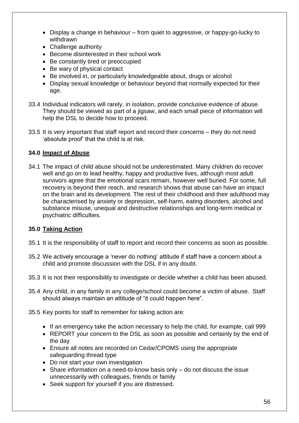- Display a change in behaviour from quiet to aggressive, or happy-go-lucky to withdrawn
- Challenge authority
- Become disinterested in their school work
- Be constantly tired or preoccupied
- Be wary of physical contact
- Be involved in, or particularly knowledgeable about, drugs or alcohol
- Display sexual knowledge or behaviour beyond that normally expected for their age.
- 33.4 Individual indicators will rarely, in isolation, provide conclusive evidence of abuse. They should be viewed as part of a jigsaw, and each small piece of information will help the DSL to decide how to proceed.
- 33.5 It is very important that staff report and record their concerns they do not need 'absolute proof' that the child is at risk.

## **34.0 Impact of Abuse**

34.1 The impact of child abuse should not be underestimated. Many children do recover well and go on to lead healthy, happy and productive lives, although most adult survivors agree that the emotional scars remain, however well buried. For some, full recovery is beyond their reach, and research shows that abuse can have an impact on the brain and its development. The rest of their childhood and their adulthood may be characterised by anxiety or depression, self-harm, eating disorders, alcohol and substance misuse, unequal and destructive relationships and long-term medical or psychiatric difficulties.

## **35.0 Taking Action**

- 35.1 It is the responsibility of staff to report and record their concerns as soon as possible.
- 35.2 We actively encourage a 'never do nothing' attitude if staff have a concern about a child and promote discussion with the DSL if in any doubt.
- 35.3 It is not their responsibility to investigate or decide whether a child has been abused.
- 35.4 Any child, in any family in any college/school could become a victim of abuse. Staff should always maintain an attitude of "it could happen here".

35.5 Key points for staff to remember for taking action are:

- If an emergency take the action necessary to help the child, for example, call 999
- REPORT your concern to the DSL as soon as possible and certainly by the end of the day
- Ensure all notes are recorded on Cedar/CPOMS using the appropriate safeguarding thread type
- Do not start your own investigation
- Share information on a need-to-know basis only do not discuss the issue unnecessarily with colleagues, friends or family
- Seek support for yourself if you are distressed.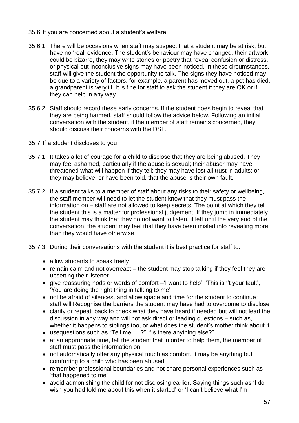- 35.6 If you are concerned about a student's welfare:
- 35.6.1 There will be occasions when staff may suspect that a student may be at risk, but have no 'real' evidence. The student's behaviour may have changed, their artwork could be bizarre, they may write stories or poetry that reveal confusion or distress, or physical but inconclusive signs may have been noticed. In these circumstances, staff will give the student the opportunity to talk. The signs they have noticed may be due to a variety of factors, for example, a parent has moved out, a pet has died, a grandparent is very ill. It is fine for staff to ask the student if they are OK or if they can help in any way.
- 35.6.2 Staff should record these early concerns. If the student does begin to reveal that they are being harmed, staff should follow the advice below. Following an initial conversation with the student, if the member of staff remains concerned, they should discuss their concerns with the DSL.
- 35.7 If a student discloses to you:
- 35.7.1 It takes a lot of courage for a child to disclose that they are being abused. They may feel ashamed, particularly if the abuse is sexual; their abuser may have threatened what will happen if they tell; they may have lost all trust in adults; or they may believe, or have been told, that the abuse is their own fault.
- 35.7.2 If a student talks to a member of staff about any risks to their safety or wellbeing, the staff member will need to let the student know that they must pass the information on – staff are not allowed to keep secrets. The point at which they tell the student this is a matter for professional judgement. If they jump in immediately the student may think that they do not want to listen, if left until the very end of the conversation, the student may feel that they have been misled into revealing more than they would have otherwise.
- 35.7.3 During their conversations with the student it is best practice for staff to:
	- allow students to speak freely
	- remain calm and not overreact the student may stop talking if they feel they are upsetting their listener
	- give reassuring nods or words of comfort –'I want to help', 'This isn't your fault', 'You are doing the right thing in talking to me'
	- not be afraid of silences, and allow space and time for the student to continue; staff will Recognise the barriers the student may have had to overcome to disclose
	- clarify or repeati back to check what they have heard if needed but will not lead the discussion in any way and will not ask direct or leading questions – such as, whether it happens to siblings too, or what does the student's mother think about it
	- usequestions such as "Tell me…..?" "Is there anything else?"
	- at an appropriate time, tell the student that in order to help them, the member of staff must pass the information on
	- not automatically offer any physical touch as comfort. It may be anything but comforting to a child who has been abused
	- remember professional boundaries and not share personal experiences such as 'that happened to me'
	- avoid admonishing the child for not disclosing earlier. Saying things such as 'I do wish you had told me about this when it started' or 'I can't believe what I'm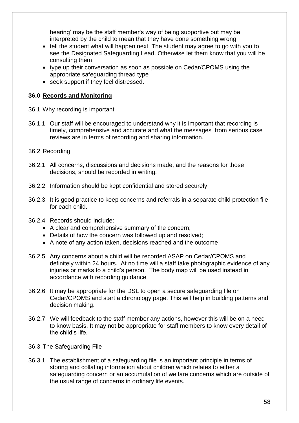hearing' may be the staff member's way of being supportive but may be interpreted by the child to mean that they have done something wrong

- tell the student what will happen next. The student may agree to go with you to see the Designated Safeguarding Lead. Otherwise let them know that you will be consulting them
- type up their conversation as soon as possible on Cedar/CPOMS using the appropriate safeguarding thread type
- seek support if they feel distressed.

### **36.0 Records and Monitoring**

- 36.1 Why recording is important
- 36.1.1 Our staff will be encouraged to understand why it is important that recording is timely, comprehensive and accurate and what the messages from serious case reviews are in terms of recording and sharing information.
- 36.2 Recording
- 36.2.1 All concerns, discussions and decisions made, and the reasons for those decisions, should be recorded in writing.
- 36.2.2 Information should be kept confidential and stored securely.
- 36.2.3 It is good practice to keep concerns and referrals in a separate child protection file for each child.
- 36.2.4 Records should include:
	- A clear and comprehensive summary of the concern;
	- Details of how the concern was followed up and resolved;
	- A note of any action taken, decisions reached and the outcome
- 36.2.5 Any concerns about a child will be recorded ASAP on Cedar/CPOMS and definitely within 24 hours. At no time will a staff take photographic evidence of any injuries or marks to a child's person. The body map will be used instead in accordance with recording guidance.
- 36.2.6 It may be appropriate for the DSL to open a secure safeguarding file on Cedar/CPOMS and start a chronology page. This will help in building patterns and decision making.
- 36.2.7 We will feedback to the staff member any actions, however this will be on a need to know basis. It may not be appropriate for staff members to know every detail of the child's life.
- 36.3 The Safeguarding File
- 36.3.1 The establishment of a safeguarding file is an important principle in terms of storing and collating information about children which relates to either a safeguarding concern or an accumulation of welfare concerns which are outside of the usual range of concerns in ordinary life events.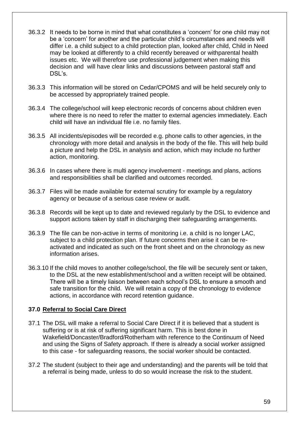- 36.3.2 It needs to be borne in mind that what constitutes a 'concern' for one child may not be a 'concern' for another and the particular child's circumstances and needs will differ i.e. a child subject to a child protection plan, looked after child, Child in Need may be looked at differently to a child recently bereaved or withparental health issues etc. We will therefore use professional judgement when making this decision and will have clear links and discussions between pastoral staff and DSL's.
- 36.3.3 This information will be stored on Cedar/CPOMS and will be held securely only to be accessed by appropriately trained people.
- 36.3.4 The college/school will keep electronic records of concerns about children even where there is no need to refer the matter to external agencies immediately. Each child will have an individual file i.e. no family files.
- 36.3.5 All incidents/episodes will be recorded e.g. phone calls to other agencies, in the chronology with more detail and analysis in the body of the file. This will help build a picture and help the DSL in analysis and action, which may include no further action, monitoring.
- 36.3.6 In cases where there is multi agency involvement meetings and plans, actions and responsibilities shall be clarified and outcomes recorded.
- 36.3.7 Files will be made available for external scrutiny for example by a regulatory agency or because of a serious case review or audit.
- 36.3.8 Records will be kept up to date and reviewed regularly by the DSL to evidence and support actions taken by staff in discharging their safeguarding arrangements.
- 36.3.9 The file can be non-active in terms of monitoring i.e. a child is no longer LAC, subject to a child protection plan. If future concerns then arise it can be reactivated and indicated as such on the front sheet and on the chronology as new information arises.
- 36.3.10 If the child moves to another college/school, the file will be securely sent or taken, to the DSL at the new establishment/school and a written receipt will be obtained. There will be a timely liaison between each school's DSL to ensure a smooth and safe transition for the child. We will retain a copy of the chronology to evidence actions, in accordance with record retention guidance.

### **37.0 Referral to Social Care Direct**

- 37.1 The DSL will make a referral to Social Care Direct if it is believed that a student is suffering or is at risk of suffering significant harm. This is best done in Wakefield/Doncaster/Bradford/Rotherham with reference to the Continuum of Need and using the Signs of Safety approach. If there is already a social worker assigned to this case - for safeguarding reasons, the social worker should be contacted.
- 37.2 The student (subject to their age and understanding) and the parents will be told that a referral is being made, unless to do so would increase the risk to the student.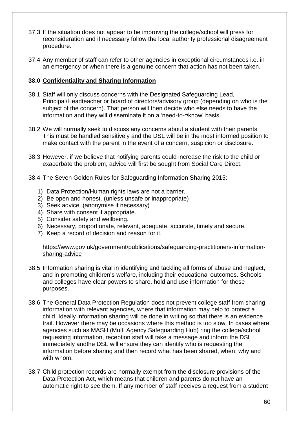- 37.3 If the situation does not appear to be improving the college/school will press for reconsideration and if necessary follow the local authority professional disagreement procedure.
- 37.4 Any member of staff can refer to other agencies in exceptional circumstances i.e. in an emergency or when there is a genuine concern that action has not been taken.

### **38.0 Confidentiality and Sharing Information**

- 38.1 Staff will only discuss concerns with the Designated Safeguarding Lead, Principal/Headteacher or board of directors/advisory group (depending on who is the subject of the concern). That person will then decide who else needs to have the information and they will disseminate it on a 'need-to-¬know' basis.
- 38.2 We will normally seek to discuss any concerns about a student with their parents. This must be handled sensitively and the DSL will be in the most informed position to make contact with the parent in the event of a concern, suspicion or disclosure.
- 38.3 However, if we believe that notifying parents could increase the risk to the child or exacerbate the problem, advice will first be sought from Social Care Direct.
- 38.4 The Seven Golden Rules for Safeguarding Information Sharing 2015:
	- 1) Data Protection/Human rights laws are not a barrier.
	- 2) Be open and honest. (unless unsafe or inappropriate)
	- 3) Seek advice. (anonymise if necessary)
	- 4) Share with consent if appropriate.
	- 5) Consider safety and wellbeing.
	- 6) Necessary, proportionate, relevant, adequate, accurate, timely and secure.
	- 7) Keep a record of decision and reason for it.

#### [https://www.gov.uk/government/publications/safeguarding-practitioners-information](https://www.gov.uk/government/publications/safeguarding-practitioners-information-sharing-advice)[sharing-advice](https://www.gov.uk/government/publications/safeguarding-practitioners-information-sharing-advice)

- 38.5 Information sharing is vital in identifying and tackling all forms of abuse and neglect, and in promoting children's welfare, including their educational outcomes. Schools and colleges have clear powers to share, hold and use information for these purposes.
- 38.6 The General Data Protection Regulation does not prevent college staff from sharing information with relevant agencies, where that information may help to protect a child. Ideally information sharing will be done in writing so that there is an evidence trail. However there may be occasions where this method is too slow. In cases where agencies such as MASH (Multi Agency Safeguarding Hub) ring the college/school requesting information, reception staff will take a message and inform the DSL immediately andthe DSL will ensure they can identify who is requesting the information before sharing and then record what has been shared, when, why and with whom.
- 38.7 Child protection records are normally exempt from the disclosure provisions of the Data Protection Act, which means that children and parents do not have an automatic right to see them. If any member of staff receives a request from a student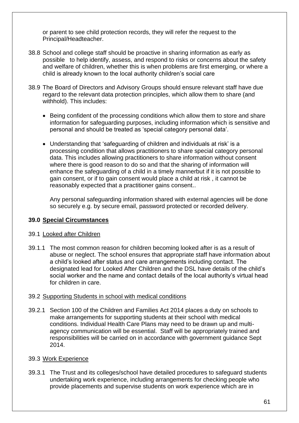or parent to see child protection records, they will refer the request to the Principal/Headteacher.

- 38.8 School and college staff should be proactive in sharing information as early as possible to help identify, assess, and respond to risks or concerns about the safety and welfare of children, whether this is when problems are first emerging, or where a child is already known to the local authority children's social care
- 38.9 The Board of Directors and Advisory Groups should ensure relevant staff have due regard to the relevant data protection principles, which allow them to share (and withhold). This includes:
	- Being confident of the processing conditions which allow them to store and share information for safeguarding purposes, including information which is sensitive and personal and should be treated as 'special category personal data'.
	- Understanding that 'safeguarding of children and individuals at risk' is a processing condition that allows practitioners to share special category personal data. This includes allowing practitioners to share information without consent where there is good reason to do so and that the sharing of information will enhance the safeguarding of a child in a timely mannerbut if it is not possible to gain consent, or if to gain consent would place a child at risk , it cannot be reasonably expected that a practitioner gains consent..

Any personal safeguarding information shared with external agencies will be done so securely e.g. by secure email, password protected or recorded delivery.

### **39.0 Special Circumstances**

#### 39.1 Looked after Children

39.1.1 The most common reason for children becoming looked after is as a result of abuse or neglect. The school ensures that appropriate staff have information about a child's looked after status and care arrangements including contact. The designated lead for Looked After Children and the DSL have details of the child's social worker and the name and contact details of the local authority's virtual head for children in care.

#### 39.2 Supporting Students in school with medical conditions

39.2.1 Section 100 of the Children and Families Act 2014 places a duty on schools to make arrangements for supporting students at their school with medical conditions. Individual Health Care Plans may need to be drawn up and multiagency communication will be essential. Staff will be appropriately trained and responsibilities will be carried on in accordance with government guidance Sept 2014.

#### 39.3 Work Experience

39.3.1 The Trust and its colleges/school have detailed procedures to safeguard students undertaking work experience, including arrangements for checking people who provide placements and supervise students on work experience which are in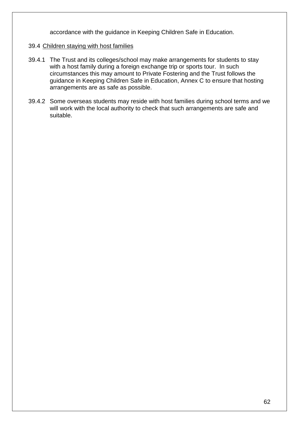accordance with the guidance in Keeping Children Safe in Education.

#### 39.4 Children staying with host families

- 39.4.1 The Trust and its colleges/school may make arrangements for students to stay with a host family during a foreign exchange trip or sports tour. In such circumstances this may amount to Private Fostering and the Trust follows the guidance in Keeping Children Safe in Education, Annex C to ensure that hosting arrangements are as safe as possible.
- 39.4.2 Some overseas students may reside with host families during school terms and we will work with the local authority to check that such arrangements are safe and suitable.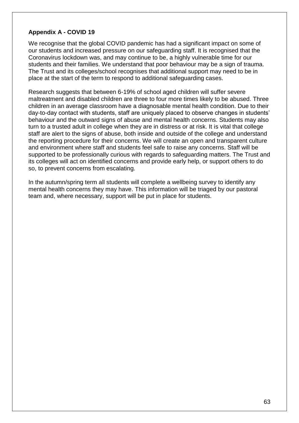#### **Appendix A - COVID 19**

We recognise that the global COVID pandemic has had a significant impact on some of our students and increased pressure on our safeguarding staff. It is recognised that the Coronavirus lockdown was, and may continue to be, a highly vulnerable time for our students and their families. We understand that poor behaviour may be a sign of trauma. The Trust and its colleges/school recognises that additional support may need to be in place at the start of the term to respond to additional safeguarding cases.

Research suggests that between 6-19% of school aged children will suffer severe maltreatment and disabled children are three to four more times likely to be abused. Three children in an average classroom have a diagnosable mental health condition. Due to their day-to-day contact with students, staff are uniquely placed to observe changes in students' behaviour and the outward signs of abuse and mental health concerns. Students may also turn to a trusted adult in college when they are in distress or at risk. It is vital that college staff are alert to the signs of abuse, both inside and outside of the college and understand the reporting procedure for their concerns. We will create an open and transparent culture and environment where staff and students feel safe to raise any concerns. Staff will be supported to be professionally curious with regards to safeguarding matters. The Trust and its colleges will act on identified concerns and provide early help, or support others to do so, to prevent concerns from escalating.

In the autumn/spring term all students will complete a wellbeing survey to identify any mental health concerns they may have. This information will be triaged by our pastoral team and, where necessary, support will be put in place for students.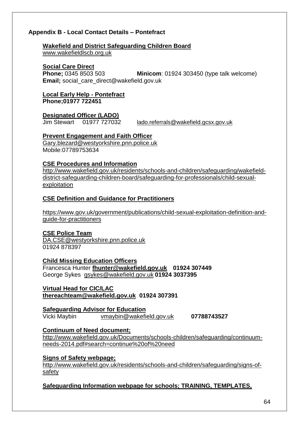### **Appendix B - Local Contact Details – Pontefract**

#### **Wakefield and District Safeguarding Children Board**

[www.wakefieldlscb.org.uk](http://www.wakefieldlscb.org.uk/)

#### **Social Care Direct**

**Phone;** 0345 8503 503 **Minicom**: 01924 303450 (type talk welcome) **Email;** social\_care\_direct@wakefield.gov.uk

**Local Early Help - Pontefract Phone;01977 722451** 

## **Designated Officer (LADO)**

Jim Stewart 01977 727032 [lado.referrals@wakefield.gcsx.gov.uk](mailto:lado.referrals@wakefield.gcsx.gov.uk)

#### **Prevent Engagement and Faith Officer**

[Gary.blezard@westyorkshire.pnn.police.uk](mailto:Gary.blezard@westyorkshire.pnn.police.uk) Mobile:07789753634

#### **CSE Procedures and Information**

[http://www.wakefield.gov.uk/residents/schools-and-children/safeguarding/wakefield](http://www.wakefield.gov.uk/residents/schools-and-children/safeguarding/wakefield-district-safeguarding-children-board/safeguarding-for-professionals/child-sexual-exploitation)[district-safeguarding-children-board/safeguarding-for-professionals/child-sexual](http://www.wakefield.gov.uk/residents/schools-and-children/safeguarding/wakefield-district-safeguarding-children-board/safeguarding-for-professionals/child-sexual-exploitation)[exploitation](http://www.wakefield.gov.uk/residents/schools-and-children/safeguarding/wakefield-district-safeguarding-children-board/safeguarding-for-professionals/child-sexual-exploitation)

### **CSE Definition and Guidance for Practitioners**

[https://www.gov.uk/government/publications/child-sexual-exploitation-definition-and](https://www.gov.uk/government/publications/child-sexual-exploitation-definition-and-guide-for-practitioners)[guide-for-practitioners](https://www.gov.uk/government/publications/child-sexual-exploitation-definition-and-guide-for-practitioners)

#### **CSE Police Team**

[DA.CSE@westyorkshire.pnn.police.uk](mailto:DA.CSE@westyorkshire.pnn.police.uk) 01924 878397

**Child Missing Education Officers** Francesca Hunter **[fhunter@wakefield.gov.uk](mailto:fhunter@wakefield.gov.uk) 01924 307449** George Sykes [gsykes@wakefield.gov.uk](mailto:gsykes@wakefield.gov.uk) **01924 3037395**

**Virtual Head for CIC/LAC [thereachteam@wakefield.gov.uk](mailto:thereachteam@wakefield.gov.uk) 01924 307391**

#### **Safeguarding Advisor for Education**

Vicki Maybin [vmaybin@wakefield.gov.uk](mailto:vmaybin@wakefield.gov.uk) **07788743527**

### **Continuum of Need document;**

[http://www.wakefield.gov.uk/Documents/schools-children/safeguarding/continuum](http://www.wakefield.gov.uk/Documents/schools-children/safeguarding/continuum-needs-2014.pdf#search=continue%20of%20need)[needs-2014.pdf#search=continue%20of%20need](http://www.wakefield.gov.uk/Documents/schools-children/safeguarding/continuum-needs-2014.pdf#search=continue%20of%20need)

### **Signs of Safety webpage;**

[http://www.wakefield.gov.uk/residents/schools-and-children/safeguarding/signs-of](http://www.wakefield.gov.uk/residents/schools-and-children/safeguarding/signs-of-safety)[safety](http://www.wakefield.gov.uk/residents/schools-and-children/safeguarding/signs-of-safety)

### **Safeguarding Information webpage for schools; TRAINING, TEMPLATES,**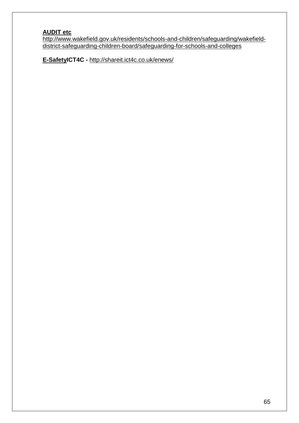## **AUDIT etc**

[http://www.wakefield.gov.uk/residents/schools-and-children/safeguarding/wakefield](http://www.wakefield.gov.uk/residents/schools-and-children/safeguarding/wakefield-district-safeguarding-children-board/safeguarding-for-schools-and-colleges)[district-safeguarding-children-board/safeguarding-for-schools-and-colleges](http://www.wakefield.gov.uk/residents/schools-and-children/safeguarding/wakefield-district-safeguarding-children-board/safeguarding-for-schools-and-colleges)

**E-SafetyICT4C -** <http://shareit.ict4c.co.uk/enews/>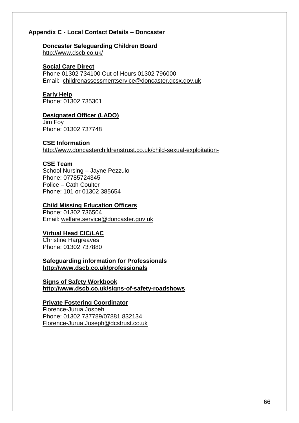#### **Appendix C - Local Contact Details – Doncaster**

#### **Doncaster Safeguarding Children Board**

<http://www.dscb.co.uk/>

#### **Social Care Direct**

Phone 01302 734100 Out of Hours 01302 796000 Email: [childrenassessmentservice@doncaster.gcsx.gov.uk](mailto:childreassessmentservice@doncaster.gcsx.gov.uk)

#### **Early Help**

Phone: 01302 735301

### **Designated Officer (LADO)**

Jim Foy Phone: 01302 737748

#### **CSE Information**

<http://www.doncasterchildrenstrust.co.uk/child-sexual-exploitation->

#### **CSE Team**

School Nursing – Jayne Pezzulo Phone: 07785724345 Police – Cath Coulter Phone: 101 or 01302 385654

#### **Child Missing Education Officers**

Phone: 01302 736504 Email: [welfare.service@doncaster.gov.uk](mailto:welfare.service@doncaster.gov.uk)

### **Virtual Head CIC/LAC**

Christine Hargreaves Phone: 01302 737880

**Safeguarding information for Professionals <http://www.dscb.co.uk/professionals>**

**Signs of Safety Workbook <http://www.dscb.co.uk/signs-of-safety-roadshows>**

#### **Private Fostering Coordinator**

Florence-Jurua Jospeh Phone: 01302 737789/07881 832134 [Florence-Jurua.Joseph@dcstrust.co.uk](mailto:Florence-Jurua.Joseph@dcstrust.co.uk)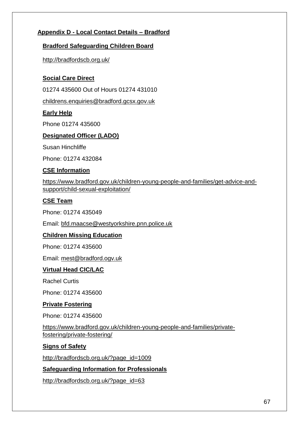## **Appendix D - Local Contact Details – Bradford**

### **Bradford Safeguarding Children Board**

<http://bradfordscb.org.uk/>

### **Social Care Direct**

01274 435600 Out of Hours 01274 431010

[childrens.enquiries@bradford.gcsx.gov.uk](mailto:childrens.enquiries@bradford.gcsx.gov.uk)

### **Early Help**

Phone 01274 435600

### **Designated Officer (LADO)**

Susan Hinchliffe

Phone: 01274 432084

### **CSE Information**

[https://www.bradford.gov.uk/children-young-people-and-families/get-advice-and](https://www.bradford.gov.uk/children-young-people-and-families/get-advice-and-support/child-sexual-exploitation/)[support/child-sexual-exploitation/](https://www.bradford.gov.uk/children-young-people-and-families/get-advice-and-support/child-sexual-exploitation/)

### **CSE Team**

Phone: 01274 435049

Email: [bfd.maacse@westyorkshire.pnn.police.uk](mailto:bfd.maacse@westyorkshire.pnn.police.uk)

### **Children Missing Education**

Phone: 01274 435600

Email: [mest@bradford.ogv.uk](mailto:mest@bradford.ogv.uk)

### **Virtual Head CIC/LAC**

Rachel Curtis

Phone: 01274 435600

### **Private Fostering**

Phone: 01274 435600

[https://www.bradford.gov.uk/children-young-people-and-families/private](https://www.bradford.gov.uk/children-young-people-and-families/private-fostering/private-fostering/)[fostering/private-fostering/](https://www.bradford.gov.uk/children-young-people-and-families/private-fostering/private-fostering/)

#### **Signs of Safety**

[http://bradfordscb.org.uk/?page\\_id=1009](http://bradfordscb.org.uk/?page_id=1009)

### **Safeguarding Information for Professionals**

[http://bradfordscb.org.uk/?page\\_id=63](http://bradfordscb.org.uk/?page_id=63)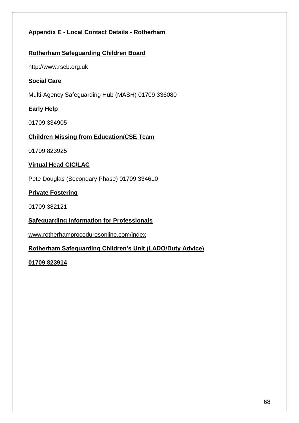## **Appendix E - Local Contact Details - Rotherham**

## **Rotherham Safeguarding Children Board**

[http://www.rscb.org.uk](http://www.rscb.org.uk/)

### **Social Care**

Multi-Agency Safeguarding Hub (MASH) 01709 336080

## **Early Help**

01709 334905

## **Children Missing from Education/CSE Team**

01709 823925

## **Virtual Head CIC/LAC**

Pete Douglas (Secondary Phase) 01709 334610

## **Private Fostering**

01709 382121

### **Safeguarding Information for Professionals**

[www.rotherhamproceduresonline.com/index](http://www.rotherhamproceduresonline.com/index)

## **Rotherham Safeguarding Children's Unit (LADO/Duty Advice)**

#### **01709 823914**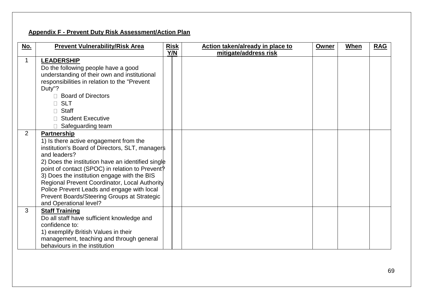# **Appendix F - Prevent Duty Risk Assessment/Action Plan**

| <u>No.</u>  | <b>Prevent Vulnerability/Risk Area</b>            | <b>Risk</b> | Action taken/already in place to | <b>Owner</b> | When | <b>RAG</b> |
|-------------|---------------------------------------------------|-------------|----------------------------------|--------------|------|------------|
|             |                                                   | Y/N         | mitigate/address risk            |              |      |            |
| $\mathbf 1$ | <b>LEADERSHIP</b>                                 |             |                                  |              |      |            |
|             | Do the following people have a good               |             |                                  |              |      |            |
|             | understanding of their own and institutional      |             |                                  |              |      |            |
|             | responsibilities in relation to the "Prevent      |             |                                  |              |      |            |
|             | Duty"?                                            |             |                                  |              |      |            |
|             | $\Box$ Board of Directors                         |             |                                  |              |      |            |
|             | <b>SLT</b><br>$\Box$                              |             |                                  |              |      |            |
|             | <b>Staff</b><br>$\Box$                            |             |                                  |              |      |            |
|             | <b>Student Executive</b><br>$\Box$                |             |                                  |              |      |            |
|             | Safeguarding team                                 |             |                                  |              |      |            |
| 2           | <b>Partnership</b>                                |             |                                  |              |      |            |
|             | 1) Is there active engagement from the            |             |                                  |              |      |            |
|             | institution's Board of Directors, SLT, managers   |             |                                  |              |      |            |
|             | and leaders?                                      |             |                                  |              |      |            |
|             | 2) Does the institution have an identified single |             |                                  |              |      |            |
|             | point of contact (SPOC) in relation to Prevent?   |             |                                  |              |      |            |
|             | 3) Does the institution engage with the BIS       |             |                                  |              |      |            |
|             | Regional Prevent Coordinator, Local Authority     |             |                                  |              |      |            |
|             | Police Prevent Leads and engage with local        |             |                                  |              |      |            |
|             | Prevent Boards/Steering Groups at Strategic       |             |                                  |              |      |            |
|             | and Operational level?                            |             |                                  |              |      |            |
| 3           | <b>Staff Training</b>                             |             |                                  |              |      |            |
|             | Do all staff have sufficient knowledge and        |             |                                  |              |      |            |
|             | confidence to:                                    |             |                                  |              |      |            |
|             | 1) exemplify British Values in their              |             |                                  |              |      |            |
|             | management, teaching and through general          |             |                                  |              |      |            |
|             | behaviours in the institution                     |             |                                  |              |      |            |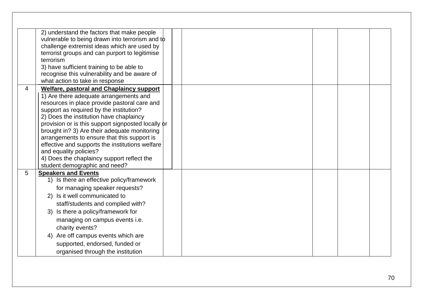|                | 2) understand the factors that make people         |  |
|----------------|----------------------------------------------------|--|
|                | vulnerable to being drawn into terrorism and to    |  |
|                | challenge extremist ideas which are used by        |  |
|                | terrorist groups and can purport to legitimise     |  |
|                | terrorism                                          |  |
|                | 3) have sufficient training to be able to          |  |
|                | recognise this vulnerability and be aware of       |  |
|                | what action to take in response                    |  |
| $\overline{4}$ | <b>Welfare, pastoral and Chaplaincy support</b>    |  |
|                | 1) Are there adequate arrangements and             |  |
|                | resources in place provide pastoral care and       |  |
|                | support as required by the institution?            |  |
|                | 2) Does the institution have chaplaincy            |  |
|                | provision or is this support signposted locally or |  |
|                | brought in? 3) Are their adequate monitoring       |  |
|                | arrangements to ensure that this support is        |  |
|                | effective and supports the institutions welfare    |  |
|                | and equality policies?                             |  |
|                | 4) Does the chaplaincy support reflect the         |  |
|                | student demographic and need?                      |  |
| 5              | <b>Speakers and Events</b>                         |  |
|                | 1) Is there an effective policy/framework          |  |
|                | for managing speaker requests?                     |  |
|                | Is it well communicated to<br>2)                   |  |
|                | staff/students and complied with?                  |  |
|                | Is there a policy/framework for<br>3)              |  |
|                | managing on campus events i.e.                     |  |
|                | charity events?                                    |  |
|                |                                                    |  |
|                | 4) Are off campus events which are                 |  |
|                | supported, endorsed, funded or                     |  |
|                | organised through the institution                  |  |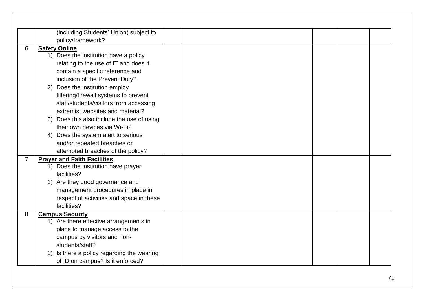|                | (including Students' Union) subject to        |  |  |
|----------------|-----------------------------------------------|--|--|
|                | policy/framework?                             |  |  |
| 6              | <b>Safety Online</b>                          |  |  |
|                | 1) Does the institution have a policy         |  |  |
|                | relating to the use of IT and does it         |  |  |
|                | contain a specific reference and              |  |  |
|                | inclusion of the Prevent Duty?                |  |  |
|                | 2) Does the institution employ                |  |  |
|                | filtering/firewall systems to prevent         |  |  |
|                | staff/students/visitors from accessing        |  |  |
|                | extremist websites and material?              |  |  |
|                | 3) Does this also include the use of using    |  |  |
|                | their own devices via Wi-Fi?                  |  |  |
|                | 4) Does the system alert to serious           |  |  |
|                | and/or repeated breaches or                   |  |  |
|                | attempted breaches of the policy?             |  |  |
| $\overline{7}$ | <b>Prayer and Faith Facilities</b>            |  |  |
|                | Does the institution have prayer              |  |  |
|                | facilities?                                   |  |  |
|                | 2) Are they good governance and               |  |  |
|                | management procedures in place in             |  |  |
|                | respect of activities and space in these      |  |  |
|                | facilities?                                   |  |  |
| 8              | <b>Campus Security</b>                        |  |  |
|                | 1) Are there effective arrangements in        |  |  |
|                | place to manage access to the                 |  |  |
|                | campus by visitors and non-                   |  |  |
|                | students/staff?                               |  |  |
|                | Is there a policy regarding the wearing<br>2) |  |  |
|                | of ID on campus? Is it enforced?              |  |  |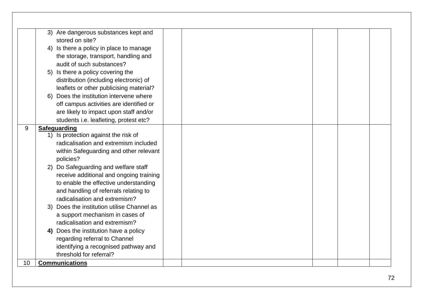|    | 3) Are dangerous substances kept and       |  |
|----|--------------------------------------------|--|
|    | stored on site?                            |  |
|    | 4) Is there a policy in place to manage    |  |
|    | the storage, transport, handling and       |  |
|    | audit of such substances?                  |  |
|    | Is there a policy covering the<br>5)       |  |
|    | distribution (including electronic) of     |  |
|    | leaflets or other publicising material?    |  |
|    | Does the institution intervene where<br>6) |  |
|    | off campus activities are identified or    |  |
|    | are likely to impact upon staff and/or     |  |
|    | students i.e. leafleting, protest etc?     |  |
| 9  | <b>Safeguarding</b>                        |  |
|    | 1) Is protection against the risk of       |  |
|    | radicalisation and extremism included      |  |
|    | within Safeguarding and other relevant     |  |
|    | policies?                                  |  |
|    | 2) Do Safeguarding and welfare staff       |  |
|    | receive additional and ongoing training    |  |
|    | to enable the effective understanding      |  |
|    | and handling of referrals relating to      |  |
|    | radicalisation and extremism?              |  |
|    | 3) Does the institution utilise Channel as |  |
|    | a support mechanism in cases of            |  |
|    | radicalisation and extremism?              |  |
|    | Does the institution have a policy         |  |
|    | regarding referral to Channel              |  |
|    | identifying a recognised pathway and       |  |
|    | threshold for referral?                    |  |
| 10 | <b>Communications</b>                      |  |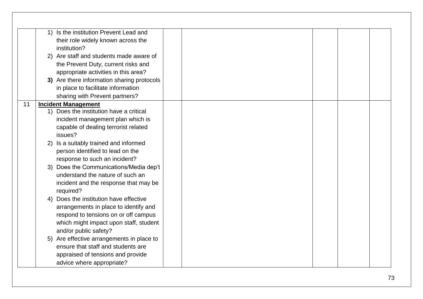|    | 1) Is the institution Prevent Lead and     |  |  |  |
|----|--------------------------------------------|--|--|--|
|    | their role widely known across the         |  |  |  |
|    | institution?                               |  |  |  |
|    | 2) Are staff and students made aware of    |  |  |  |
|    | the Prevent Duty, current risks and        |  |  |  |
|    | appropriate activities in this area?       |  |  |  |
|    | 3) Are there information sharing protocols |  |  |  |
|    | in place to facilitate information         |  |  |  |
|    | sharing with Prevent partners?             |  |  |  |
| 11 | <b>Incident Management</b>                 |  |  |  |
|    | 1) Does the institution have a critical    |  |  |  |
|    | incident management plan which is          |  |  |  |
|    | capable of dealing terrorist related       |  |  |  |
|    | issues?                                    |  |  |  |
|    | 2) Is a suitably trained and informed      |  |  |  |
|    | person identified to lead on the           |  |  |  |
|    | response to such an incident?              |  |  |  |
|    | 3) Does the Communications/Media dep't     |  |  |  |
|    | understand the nature of such an           |  |  |  |
|    | incident and the response that may be      |  |  |  |
|    | required?                                  |  |  |  |
|    | 4) Does the institution have effective     |  |  |  |
|    | arrangements in place to identify and      |  |  |  |
|    | respond to tensions on or off campus       |  |  |  |
|    | which might impact upon staff, student     |  |  |  |
|    | and/or public safety?                      |  |  |  |
|    | 5) Are effective arrangements in place to  |  |  |  |
|    | ensure that staff and students are         |  |  |  |
|    | appraised of tensions and provide          |  |  |  |
|    | advice where appropriate?                  |  |  |  |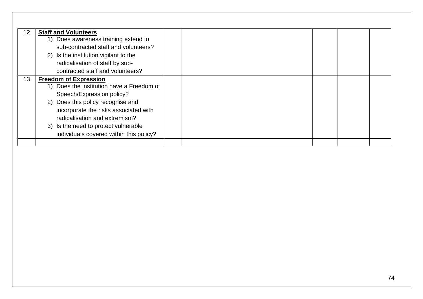| 12 | <b>Staff and Volunteers</b>               |  |  |
|----|-------------------------------------------|--|--|
|    | 1) Does awareness training extend to      |  |  |
|    | sub-contracted staff and volunteers?      |  |  |
|    | 2) Is the institution vigilant to the     |  |  |
|    | radicalisation of staff by sub-           |  |  |
|    | contracted staff and volunteers?          |  |  |
| 13 | <b>Freedom of Expression</b>              |  |  |
|    | 1) Does the institution have a Freedom of |  |  |
|    | Speech/Expression policy?                 |  |  |
|    | 2) Does this policy recognise and         |  |  |
|    | incorporate the risks associated with     |  |  |
|    | radicalisation and extremism?             |  |  |
|    | 3) Is the need to protect vulnerable      |  |  |
|    | individuals covered within this policy?   |  |  |
|    |                                           |  |  |